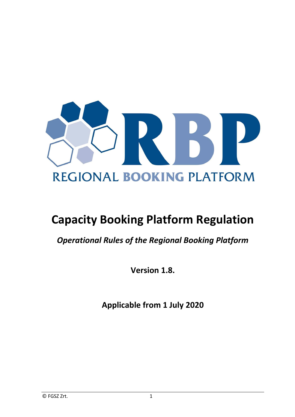

# **Capacity Booking Platform Regulation**

*Operational Rules of the Regional Booking Platform*

**Version 1.8.**

**Applicable from 1 July 2020**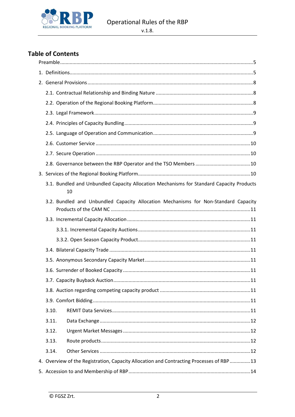

# **Table of Contents**

| 3.1. Bundled and Unbundled Capacity Allocation Mechanisms for Standard Capacity Products<br>10 |                                                                                          |  |  |  |  |  |  |  |
|------------------------------------------------------------------------------------------------|------------------------------------------------------------------------------------------|--|--|--|--|--|--|--|
|                                                                                                | 3.2. Bundled and Unbundled Capacity Allocation Mechanisms for Non-Standard Capacity      |  |  |  |  |  |  |  |
|                                                                                                |                                                                                          |  |  |  |  |  |  |  |
|                                                                                                |                                                                                          |  |  |  |  |  |  |  |
|                                                                                                |                                                                                          |  |  |  |  |  |  |  |
|                                                                                                |                                                                                          |  |  |  |  |  |  |  |
|                                                                                                |                                                                                          |  |  |  |  |  |  |  |
|                                                                                                |                                                                                          |  |  |  |  |  |  |  |
|                                                                                                | 11                                                                                       |  |  |  |  |  |  |  |
|                                                                                                |                                                                                          |  |  |  |  |  |  |  |
|                                                                                                |                                                                                          |  |  |  |  |  |  |  |
|                                                                                                | 3.10.                                                                                    |  |  |  |  |  |  |  |
|                                                                                                | 3.11.                                                                                    |  |  |  |  |  |  |  |
|                                                                                                | 3.12.                                                                                    |  |  |  |  |  |  |  |
|                                                                                                | 3.13.                                                                                    |  |  |  |  |  |  |  |
|                                                                                                | 3.14.                                                                                    |  |  |  |  |  |  |  |
|                                                                                                | 4. Overview of the Registration, Capacity Allocation and Contracting Processes of RBP 13 |  |  |  |  |  |  |  |
|                                                                                                |                                                                                          |  |  |  |  |  |  |  |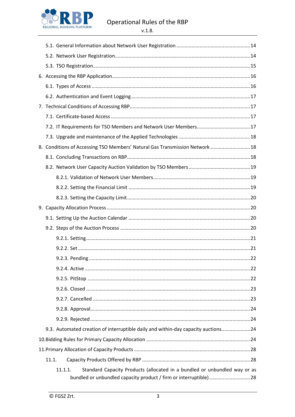

|  | 8. Conditions of Accessing TSO Members' Natural Gas Transmission Network  18         |  |  |  |  |  |
|--|--------------------------------------------------------------------------------------|--|--|--|--|--|
|  |                                                                                      |  |  |  |  |  |
|  |                                                                                      |  |  |  |  |  |
|  |                                                                                      |  |  |  |  |  |
|  |                                                                                      |  |  |  |  |  |
|  |                                                                                      |  |  |  |  |  |
|  |                                                                                      |  |  |  |  |  |
|  |                                                                                      |  |  |  |  |  |
|  |                                                                                      |  |  |  |  |  |
|  |                                                                                      |  |  |  |  |  |
|  |                                                                                      |  |  |  |  |  |
|  |                                                                                      |  |  |  |  |  |
|  |                                                                                      |  |  |  |  |  |
|  |                                                                                      |  |  |  |  |  |
|  |                                                                                      |  |  |  |  |  |
|  |                                                                                      |  |  |  |  |  |
|  |                                                                                      |  |  |  |  |  |
|  |                                                                                      |  |  |  |  |  |
|  | 9.3. Automated creation of interruptible daily and within-day capacity auctions24    |  |  |  |  |  |
|  |                                                                                      |  |  |  |  |  |
|  |                                                                                      |  |  |  |  |  |
|  | 11.1.                                                                                |  |  |  |  |  |
|  | Standard Capacity Products (allocated in a bundled or unbundled way or as<br>11.1.1. |  |  |  |  |  |
|  | bundled or unbundled capacity product / firm or interruptible)28                     |  |  |  |  |  |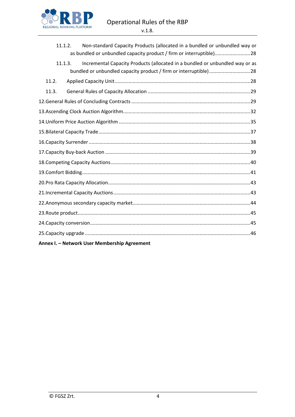

| Non-standard Capacity Products (allocated in a bundled or unbundled way or<br>11.1.2.<br>as bundled or unbundled capacity product / firm or interruptible)28 |  |  |  |  |  |  |  |  |
|--------------------------------------------------------------------------------------------------------------------------------------------------------------|--|--|--|--|--|--|--|--|
| Incremental Capacity Products (allocated in a bundled or unbundled way or as<br>11.1.3.<br>bundled or unbundled capacity product / firm or interruptible)28  |  |  |  |  |  |  |  |  |
| 11.2.                                                                                                                                                        |  |  |  |  |  |  |  |  |
| 11.3.                                                                                                                                                        |  |  |  |  |  |  |  |  |
|                                                                                                                                                              |  |  |  |  |  |  |  |  |
|                                                                                                                                                              |  |  |  |  |  |  |  |  |
|                                                                                                                                                              |  |  |  |  |  |  |  |  |
|                                                                                                                                                              |  |  |  |  |  |  |  |  |
|                                                                                                                                                              |  |  |  |  |  |  |  |  |
|                                                                                                                                                              |  |  |  |  |  |  |  |  |
|                                                                                                                                                              |  |  |  |  |  |  |  |  |
|                                                                                                                                                              |  |  |  |  |  |  |  |  |
|                                                                                                                                                              |  |  |  |  |  |  |  |  |
|                                                                                                                                                              |  |  |  |  |  |  |  |  |
|                                                                                                                                                              |  |  |  |  |  |  |  |  |
|                                                                                                                                                              |  |  |  |  |  |  |  |  |
|                                                                                                                                                              |  |  |  |  |  |  |  |  |
|                                                                                                                                                              |  |  |  |  |  |  |  |  |
| Annex I. - Network User Membership Agreement                                                                                                                 |  |  |  |  |  |  |  |  |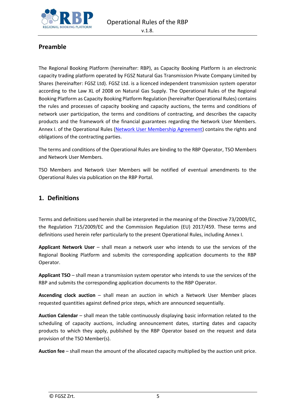

#### v.1.8.

# <span id="page-4-0"></span>**Preamble**

The Regional Booking Platform (hereinafter: RBP), as Capacity Booking Platform is an electronic capacity trading platform operated by FGSZ Natural Gas Transmission Private Company Limited by Shares (hereinafter: FGSZ Ltd). FGSZ Ltd. is a licenced independent transmission system operator according to the Law XL of 2008 on Natural Gas Supply. The Operational Rules of the Regional Booking Platform as Capacity Booking Platform Regulation (hereinafter Operational Rules) contains the rules and processes of capacity booking and capacity auctions, the terms and conditions of network user participation, the terms and conditions of contracting, and describes the capacity products and the framework of the financial guarantees regarding the Network User Members. Annex I. of the Operational Rules [\(Network User Membership Agreement\)](https://ipnew.rbp.eu/rbp.eu/FileContent/numa_with_annexes.pdf) contains the rights and obligations of the contracting parties.

The terms and conditions of the Operational Rules are binding to the RBP Operator, TSO Members and Network User Members.

TSO Members and Network User Members will be notified of eventual amendments to the Operational Rules via publication on the RBP Portal.

# <span id="page-4-1"></span>**1. Definitions**

Terms and definitions used herein shall be interpreted in the meaning of the Directive 73/2009/EC, the Regulation 715/2009/EC and the Commission Regulation (EU) 2017/459. These terms and definitions used herein refer particularly to the present Operational Rules, including Annex I.

**Applicant Network User** – shall mean a network user who intends to use the services of the Regional Booking Platform and submits the corresponding application documents to the RBP Operator.

**Applicant TSO** – shall mean a transmission system operator who intends to use the services of the RBP and submits the corresponding application documents to the RBP Operator.

**Ascending clock auction** – shall mean an auction in which a Network User Member places requested quantities against defined price steps, which are announced sequentially.

**Auction Calendar** – shall mean the table continuously displaying basic information related to the scheduling of capacity auctions, including announcement dates, starting dates and capacity products to which they apply, published by the RBP Operator based on the request and data provision of the TSO Member(s).

**Auction fee** – shall mean the amount of the allocated capacity multiplied by the auction unit price.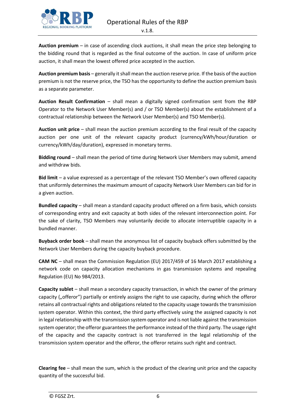

**Auction premium** – in case of ascending clock auctions, it shall mean the price step belonging to the bidding round that is regarded as the final outcome of the auction. In case of uniform price auction, it shall mean the lowest offered price accepted in the auction.

**Auction premium basis** – generally it shall mean the auction reserve price. If the basis of the auction premium is not the reserve price, the TSO has the opportunity to define the auction premium basis as a separate parameter.

**Auction Result Confirmation** – shall mean a digitally signed confirmation sent from the RBP Operator to the Network User Member(s) and / or TSO Member(s) about the establishment of a contractual relationship between the Network User Member(s) and TSO Member(s).

**Auction unit price** – shall mean the auction premium according to the final result of the capacity auction per one unit of the relevant capacity product (currency/kWh/hour/duration or currency/kWh/day/duration), expressed in monetary terms.

**Bidding round** – shall mean the period of time during Network User Members may submit, amend and withdraw bids.

**Bid limit** – a value expressed as a percentage of the relevant TSO Member's own offered capacity that uniformly determines the maximum amount of capacity Network User Members can bid for in a given auction.

**Bundled capacity** – shall mean a standard capacity product offered on a firm basis, which consists of corresponding entry and exit capacity at both sides of the relevant interconnection point. For the sake of clarity, TSO Members may voluntarily decide to allocate interruptible capacity in a bundled manner.

**Buyback order book** – shall mean the anonymous list of capacity buyback offers submitted by the Network User Members during the capacity buyback procedure.

**CAM NC** – shall mean the Commission Regulation (EU) 2017/459 of 16 March 2017 establishing a network code on capacity allocation mechanisms in gas transmission systems and repealing Regulation (EU) No 984/2013.

**Capacity sublet** – shall mean a secondary capacity transaction, in which the owner of the primary capacity ("offeror") partially or entirely assigns the right to use capacity, during which the offeror retains all contractual rights and obligations related to the capacity usage towards the transmission system operator. Within this context, the third party effectively using the assigned capacity is not in legal relationship with the transmission system operator and is not liable against the transmission system operator; the offeror guarantees the performance instead of the third party. The usage right of the capacity and the capacity contract is not transferred in the legal relationship of the transmission system operator and the offeror, the offeror retains such right and contract.

**Clearing fee** – shall mean the sum, which is the product of the clearing unit price and the capacity quantity of the successful bid.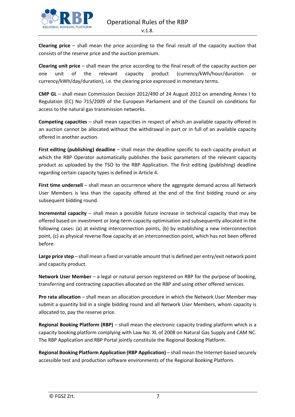

**Clearing price** – shall mean the price according to the final result of the capacity auction that consists of the reserve price and the auction premium.

**Clearing unit price** – shall mean the price according to the final result of the capacity auction per one unit of the relevant capacity product (currency/kWh/hour/duration or currency/kWh/day/duration), i.e. the clearing price expressed in monetary terms.

**CMP GL** – shall mean Commission Decision 2012/490 of 24 August 2012 on amending Annex I to Regulation (EC) No 715/2009 of the European Parliament and of the Council on conditions for access to the natural gas transmission networks.

**Competing capacities** – shall mean capacities in respect of which an available capacity offered in an auction cannot be allocated without the withdrawal in part or in full of an available capacity offered in another auction.

**First editing (publishing) deadline** – shall mean the deadline specific to each capacity product at which the RBP Operator automatically publishes the basic parameters of the relevant capacity product as uploaded by the TSO to the RBP Application. The first editing (publishing) deadline regarding certain capacity types is defined in Article 4.

**First time undersell** – shall mean an occurrence where the aggregate demand across all Network User Members is less than the capacity offered at the end of the first bidding round or any subsequent bidding round.

**Incremental capacity** – shall mean a possible future increase in technical capacity that may be offered based on investment or long-term capacity optimisation and subsequently allocated in the following cases: (a) at existing interconnection points, (b) by establishing a new interconnection point, (c) as physical reverse flow capacity at an interconnection point, which has not been offered before.

**Large price step** – shall mean a fixed or variable amount that is defined per entry/exit network point and capacity product.

**Network User Member** – a legal or natural person registered on RBP for the purpose of booking, transferring and contracting capacities allocated on the RBP and using other offered services.

**Pro rata allocation** – shall mean an allocation procedure in which the Network User Member may submit a quantity bid in a single bidding round and all Network User Members, whom capacity is allocated to, pay the reserve price.

**Regional Booking Platform (RBP)** – shall mean the electronic capacity trading platform which is a capacity booking platform complying with Law No. XL of 2008 on Natural Gas Supply and CAM NC. The RBP Application and RBP Portal jointly constitute the Regional Booking Platform.

**Regional Booking Platform Application (RBP Application)** – shall mean the Internet-based securely accessible test and production software environments of the Regional Booking Platform.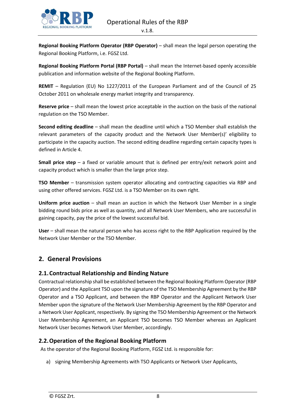

**Regional Booking Platform Operator (RBP Operator)** – shall mean the legal person operating the Regional Booking Platform, i.e. FGSZ Ltd.

**Regional Booking Platform Portal (RBP Portal)** – shall mean the Internet-based openly accessible publication and information website of the Regional Booking Platform.

**REMIT** – Regulation (EU) No 1227/2011 of the European Parliament and of the Council of 25 October 2011 on wholesale energy market integrity and transparency.

**Reserve price** – shall mean the lowest price acceptable in the auction on the basis of the national regulation on the TSO Member.

**Second editing deadline** – shall mean the deadline until which a TSO Member shall establish the relevant parameters of the capacity product and the Network User Member(s)' eligibility to participate in the capacity auction. The second editing deadline regarding certain capacity types is defined in Article 4.

**Small price step** – a fixed or variable amount that is defined per entry/exit network point and capacity product which is smaller than the large price step.

**TSO Member** – transmission system operator allocating and contracting capacities via RBP and using other offered services. FGSZ Ltd. is a TSO Member on its own right.

**Uniform price auction** – shall mean an auction in which the Network User Member in a single bidding round bids price as well as quantity, and all Network User Members, who are successful in gaining capacity, pay the price of the lowest successful bid.

**User** – shall mean the natural person who has access right to the RBP Application required by the Network User Member or the TSO Member.

# <span id="page-7-0"></span>**2. General Provisions**

#### <span id="page-7-1"></span>**2.1.Contractual Relationship and Binding Nature**

Contractual relationship shall be established between the Regional Booking Platform Operator (RBP Operator) and the Applicant TSO upon the signature of the TSO Membership Agreement by the RBP Operator and a TSO Applicant, and between the RBP Operator and the Applicant Network User Member upon the signature of the Network User Membership Agreement by the RBP Operator and a Network User Applicant, respectively. By signing the TSO Membership Agreement or the Network User Membership Agreement, an Applicant TSO becomes TSO Member whereas an Applicant Network User becomes Network User Member, accordingly.

#### <span id="page-7-2"></span>**2.2.Operation of the Regional Booking Platform**

As the operator of the Regional Booking Platform, FGSZ Ltd. is responsible for:

a) signing Membership Agreements with TSO Applicants or Network User Applicants,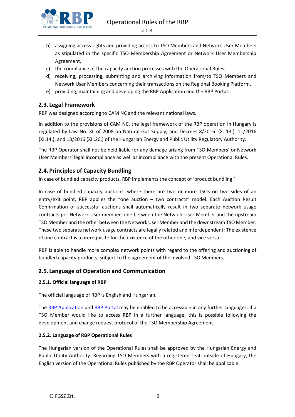

- b) assigning access rights and providing access to TSO Members and Network User Members as stipulated in the specific TSO Membership Agreement or Network User Membership Agreement,
- c) the compliance of the capacity auction processes with the Operational Rules,
- d) receiving, processing, submitting and archiving information from/to TSO Members and Network User Members concerning their transactions on the Regional Booking Platform,
- e) providing, maintaining and developing the RBP Application and the RBP Portal.

# <span id="page-8-0"></span>**2.3. Legal Framework**

RBP was designed according to CAM NC and the relevant national laws.

In addition to the provisions of CAM NC, the legal framework of the RBP operation in Hungary is regulated by Law No. XL of 2008 on Natural Gas Supply, and Decrees 8/2016. (X. 13.), 11/2016 (XI.14.), and 13/2016 (XII.20.) of the Hungarian Energy and Public Utility Regulatory Authority.

The RBP Operator shall not be held liable for any damage arising from TSO Members' or Network User Members' legal incompliance as well as incompliance with the present Operational Rules.

# <span id="page-8-1"></span>**2.4.Principles of Capacity Bundling**

In case of bundled capacity products, RBP implements the concept of 'product bundling.'

In case of bundled capacity auctions, where there are two or more TSOs on two sides of an entry/exit point, RBP applies the "one auction – two contracts" model. Each Auction Result Confirmation of successful auctions shall automatically result in two separate network usage contracts per Network User member: one between the Network User Member and the upstream TSO Member and the other between the Network User Member and the downstream TSO Member. These two separate network usage contracts are legally related and interdependent: The existence of one contract is a prerequisite for the existence of the other one, and vice versa.

RBP is able to handle more complex network points with regard to the offering and auctioning of bundled capacity products, subject to the agreement of the involved TSO Members.

#### <span id="page-8-2"></span>**2.5. Language of Operation and Communication**

#### **2.5.1. Official language of RBP**

The official language of RBP is English and Hungarian.

The [RBP Application](https://ipnew.fgsz.hu/Fgsz.Klp.Web/?locale=en) an[d RBP Portal](https://ipnew.rbp.eu/RBP.eu/#news-and-events) may be enabled to be accessible in any further languages. If a TSO Member would like to access RBP in a further language, this is possible following the development and change request protocol of the TSO Membership Agreement.

#### **2.5.2. Language of RBP Operational Rules**

The Hungarian version of the Operational Rules shall be approved by the Hungarian Energy and Public Utility Authority. Regarding TSO Members with a registered seat outside of Hungary, the English version of the Operational Rules published by the RBP Operator shall be applicable.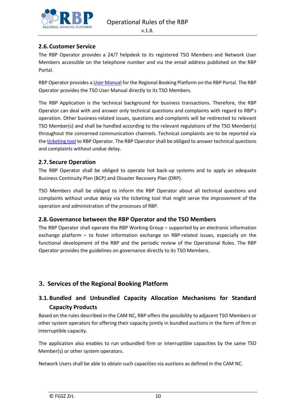

# <span id="page-9-0"></span>**2.6.Customer Service**

The RBP Operator provides a 24/7 helpdesk to its registered TSO Members and Network User Members accessible on the telephone number and via the email address published on the RBP Portal.

RBP Operator provides [a User Manual](https://ipnew.rbp.eu/rbp.eu/FileContent/network_user_manual.pdf) for the Regional Booking Platform on the RBP Portal. The RBP Operator provides the TSO User Manual directly to its TSO Members.

The RBP Application is the technical background for business transactions. Therefore, the RBP Operator can deal with and answer only technical questions and complaints with regard to RBP's operation. Other business-related issues, questions and complaints will be redirected to relevant TSO Member(s) and shall be handled according to the relevant regulations of the TSO Member(s) throughout the concerned communication channels. Technical complaints are to be reported via th[e ticketing tool](https://fgsz.topdesk.net/tas/public/login/saml) to RBP Operator. The RBP Operator shall be obliged to answer technical questions and complaints without undue delay.

# <span id="page-9-1"></span>**2.7. Secure Operation**

The RBP Operator shall be obliged to operate hot back-up systems and to apply an adequate Business Continuity Plan (BCP) and Disaster Recovery Plan (DRP).

TSO Members shall be obliged to inform the RBP Operator about all technical questions and complaints without undue delay via the ticketing tool that might serve the improvement of the operation and administration of the processes of RBP.

#### <span id="page-9-2"></span>**2.8.Governance between the RBP Operator and the TSO Members**

The RBP Operator shall operate the RBP Working Group – supported by an electronic information exchange platform – to foster information exchange on RBP-related issues, especially on the functional development of the RBP and the periodic review of the Operational Rules. The RBP Operator provides the guidelines on governance directly to its TSO Members.

# <span id="page-9-3"></span>**3. Services of the Regional Booking Platform**

# <span id="page-9-4"></span>**3.1.Bundled and Unbundled Capacity Allocation Mechanisms for Standard Capacity Products**

Based on the rules described in the CAM NC, RBP offers the possibility to adjacent TSO Members or other system operators for offering their capacity jointly in bundled auctions in the form of firm or interruptible capacity.

The application also enables to run unbundled firm or interruptible capacities by the same TSO Member(s) or other system operators.

Network Users shall be able to obtain such capacities via auctions as defined in the CAM NC.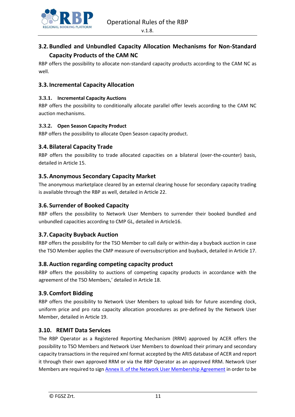

# <span id="page-10-0"></span>**3.2.Bundled and Unbundled Capacity Allocation Mechanisms for Non-Standard Capacity Products of the CAM NC**

RBP offers the possibility to allocate non-standard capacity products according to the CAM NC as well.

## <span id="page-10-1"></span>**3.3.Incremental Capacity Allocation**

#### <span id="page-10-2"></span>**3.3.1. Incremental Capacity Auctions**

RBP offers the possibility to conditionally allocate parallel offer levels according to the CAM NC auction mechanisms.

#### <span id="page-10-3"></span>**3.3.2. Open Season Capacity Product**

RBP offers the possibility to allocate Open Season capacity product.

#### <span id="page-10-4"></span>**3.4.Bilateral Capacity Trade**

RBP offers the possibility to trade allocated capacities on a bilateral (over-the-counter) basis, detailed in Article 15.

#### <span id="page-10-5"></span>**3.5.Anonymous Secondary Capacity Market**

The anonymous marketplace cleared by an external clearing house for secondary capacity trading is available through the RBP as well, detailed in Article 22.

#### <span id="page-10-6"></span>**3.6. Surrender of Booked Capacity**

RBP offers the possibility to Network User Members to surrender their booked bundled and unbundled capacities according to CMP GL, detailed in Article16.

#### <span id="page-10-7"></span>**3.7.Capacity Buyback Auction**

RBP offers the possibility for the TSO Member to call daily or within-day a buyback auction in case the TSO Member applies the CMP measure of oversubscription and buyback, detailed in Article 17.

#### <span id="page-10-8"></span>**3.8.Auction regarding competing capacity product**

RBP offers the possibility to auctions of competing capacity products in accordance with the agreement of the TSO Members,' detailed in Article 18.

#### <span id="page-10-9"></span>**3.9.Comfort Bidding**

RBP offers the possibility to Network User Members to upload bids for future ascending clock, uniform price and pro rata capacity allocation procedures as pre-defined by the Network User Member, detailed in Article 19.

#### <span id="page-10-10"></span>**3.10. REMIT Data Services**

The RBP Operator as a Registered Reporting Mechanism (RRM) approved by ACER offers the possibility to TSO Members and Network User Members to download their primary and secondary capacity transactions in the required xml format accepted by the ARIS database of ACER and report it through their own approved RRM or via the RBP Operator as an approved RRM. Network User Members are required to sig[n Annex II. of the Network User Membership Agreement](https://ipnew.rbp.eu/rbp.eu/FileContent/numa_with_annexes.pdf) in order to be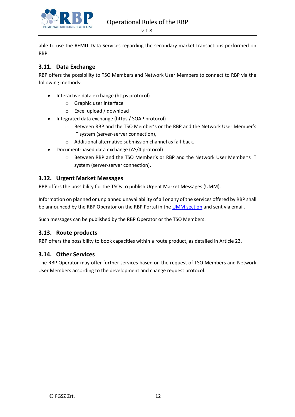

able to use the REMIT Data Services regarding the secondary market transactions performed on RBP.

# <span id="page-11-0"></span>**3.11. Data Exchange**

RBP offers the possibility to TSO Members and Network User Members to connect to RBP via the following methods:

- Interactive data exchange (https protocol)
	- o Graphic user interface
	- o Excel upload / download
- Integrated data exchange (https / SOAP protocol)
	- o Between RBP and the TSO Member's or the RBP and the Network User Member's IT system (server-server connection),
	- o Additional alternative submission channel as fall-back.
- Document-based data exchange (AS/4 protocol)
	- o Between RBP and the TSO Member's or RBP and the Network User Member's IT system (server-server connection).

# <span id="page-11-1"></span>**3.12. Urgent Market Messages**

RBP offers the possibility for the TSOs to publish Urgent Market Messages (UMM).

Information on planned or unplanned unavailability of all or any of the services offered by RBP shall be announced by the RBP Operator on the RBP Portal in th[e UMM section](https://ipnew.rbp.eu/RBP.eu/#umm) and sent via email.

Such messages can be published by the RBP Operator or the TSO Members.

#### <span id="page-11-2"></span>**3.13. Route products**

RBP offers the possibility to book capacities within a route product, as detailed in Article 23.

# <span id="page-11-3"></span>**3.14. Other Services**

The RBP Operator may offer further services based on the request of TSO Members and Network User Members according to the development and change request protocol.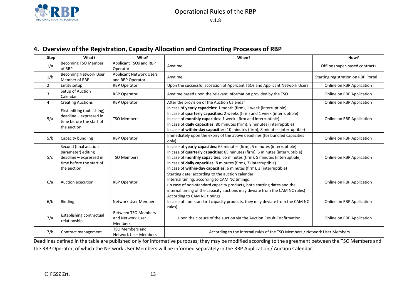

# **4. Overview of the Registration, Capacity Allocation and Contracting Processes of RBP**

| <b>Step</b>    | What?                                                                                                             | Who?                                                             | When?                                                                                                                                                                                                                                                                                                                                                                                   | How?                                |
|----------------|-------------------------------------------------------------------------------------------------------------------|------------------------------------------------------------------|-----------------------------------------------------------------------------------------------------------------------------------------------------------------------------------------------------------------------------------------------------------------------------------------------------------------------------------------------------------------------------------------|-------------------------------------|
| 1/a            | <b>Becoming TSO Member</b><br>of RBP                                                                              | Applicant TSOs and RBP<br>Operator                               | Anytime                                                                                                                                                                                                                                                                                                                                                                                 | Offline (paper-based contract)      |
| 1/b            | <b>Becoming Network User</b><br>Member of RBP                                                                     | <b>Applicant Network Users</b><br>and RBP Operator               | Anytime                                                                                                                                                                                                                                                                                                                                                                                 | Starting registration on RBP Portal |
| $\overline{2}$ | Entity setup                                                                                                      | <b>RBP Operator</b>                                              | Upon the successful accession of Applicant TSOs and Applicant Network Users                                                                                                                                                                                                                                                                                                             | Online on RBP Application           |
| 3              | Setup of Auction<br>Calendar                                                                                      | <b>RBP Operator</b>                                              | Anytime based upon the relevant information provided by the TSO                                                                                                                                                                                                                                                                                                                         | Online on RBP Application           |
| 4              | <b>Creating Auctions</b>                                                                                          | <b>RBP Operator</b>                                              | After the provision of the Auction Calendar                                                                                                                                                                                                                                                                                                                                             | Online on RBP Application           |
| 5/a            | First editing (publishing)<br>deadline - expressed in<br>time before the start of<br>the auction                  | <b>TSO Members</b>                                               | In case of yearly capacities: 1 month (firm), 1 week (interruptible)<br>In case of quarterly capacities: 2 weeks (firm) and 1 week (interruptible)<br>In case of monthly capacities: 1 week (firm and interruptible)<br>In case of daily capacities: 80 minutes (firm), 8 minutes (interruptible)<br>In case of within-day capacities: 10 minutes (firm), 8 minutes (interruptible)     | Online on RBP Application           |
| 5/b            | Capacity bundling                                                                                                 | <b>RBP Operator</b>                                              | Immediately upon the expiry of the above deadlines (for bundled capacities<br>only)                                                                                                                                                                                                                                                                                                     | Online on RBP Application           |
| 5/c            | Second (final auction<br>parameter) editing<br>deadline - expressed in<br>time before the start of<br>the auction | <b>TSO Members</b>                                               | In case of yearly capacities: 65 minutes (firm), 5 minutes (interruptible)<br>In case of quarterly capacities: 65 minutes (firm), 5 minutes (interruptible)<br>In case of monthly capacities: 65 minutes (firm), 5 minutes (interruptible)<br>In case of daily capacities: 8 minutes (firm), 3 (interruptible)<br>In case of within-day capacities: 6 minutes (firm), 3 (interruptible) | Online on RBP Application           |
| 6/a            | Auction execution                                                                                                 | <b>RBP Operator</b>                                              | Starting date: according to the auction calendar<br>Internal timing: according to CAM NC timings<br>(In case of non-standard capacity products, both starting dates and the<br>internal timing of the capacity auctions may deviate from the CAM NC rules)                                                                                                                              | Online on RBP Application           |
| 6/b            | <b>Bidding</b>                                                                                                    | <b>Network User Members</b>                                      | According to CAM NC timings<br>In case of non-standard capacity products, they may deviate from the CAM NC<br>rules)                                                                                                                                                                                                                                                                    | Online on RBP Application           |
| 7/a            | Establishing contractual<br>relationship                                                                          | <b>Between TSO Members</b><br>and Network User<br><b>Members</b> | Upon the closure of the auction via the Auction Result Confirmation                                                                                                                                                                                                                                                                                                                     | Online on RBP Application           |
| 7/b            | Contract management                                                                                               | <b>TSO Members and</b><br><b>Network User Members</b>            | According to the internal rules of the TSO Members / Network User Members                                                                                                                                                                                                                                                                                                               |                                     |

<span id="page-12-0"></span>Deadlines defined in the table are published only for informative purposes; they may be modified according to the agreement between the TSO Members and the RBP Operator, of which the Network User Members will be informed separately in the RBP Application / Auction Calendar.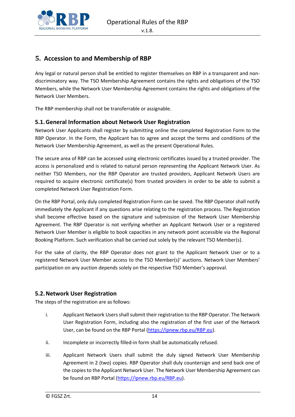

# <span id="page-13-0"></span>**5. Accession to and Membership of RBP**

Any legal or natural person shall be entitled to register themselves on RBP in a transparent and nondiscriminatory way. The TSO Membership Agreement contains the rights and obligations of the TSO Members, while the Network User Membership Agreement contains the rights and obligations of the Network User Members.

The RBP membership shall not be transferrable or assignable.

#### <span id="page-13-1"></span>**5.1.General Information about Network User Registration**

Network User Applicants shall register by submitting online the completed Registration Form to the RBP Operator. In the Form, the Applicant has to agree and accept the terms and conditions of the Network User Membership Agreement, as well as the present Operational Rules.

The secure area of RBP can be accessed using electronic certificates issued by a trusted provider. The access is personalized and is related to natural person representing the Applicant Network User. As neither TSO Members, nor the RBP Operator are trusted providers, Applicant Network Users are required to acquire electronic certificate(s) from trusted providers in order to be able to submit a completed Network User Registration Form.

On the RBP Portal, only duly completed Registration Form can be saved. The RBP Operator shall notify immediately the Applicant if any questions arise relating to the registration process. The Registration shall become effective based on the signature and submission of the Network User Membership Agreement. The RBP Operator is not verifying whether an Applicant Network User or a registered Network User Member is eligible to book capacities in any network point accessible via the Regional Booking Platform. Such verification shall be carried out solely by the relevant TSO Member(s).

For the sake of clarity, the RBP Operator does not grant to the Applicant Network User or to a registered Network User Member access to the TSO Member(s)' auctions. Network User Members' participation on any auction depends solely on the respective TSO Member's approval.

# <span id="page-13-2"></span>**5.2.Network User Registration**

The steps of the registration are as follows:

- i. Applicant Network Users shall submit their registration to the RBP Operator. The Network User Registration Form, including also the registration of the first user of the Network User, can be found on the RBP Portal [\(https://ipnew.rbp.eu/RBP.eu\)](https://ipnew.rbp.eu/RBP.eu).
- ii. Incomplete or incorrectly filled-in form shall be automatically refused.
- iii. Applicant Network Users shall submit the duly signed Network User Membership Agreement in 2 (two) copies. RBP Operator shall duly countersign and send back one of the copies to the Applicant Network User. The Network User Membership Agreement can be found on RBP Portal [\(https://ipnew.rbp.eu/RBP.eu\)](https://ipnew.rbp.eu/RBP.eu).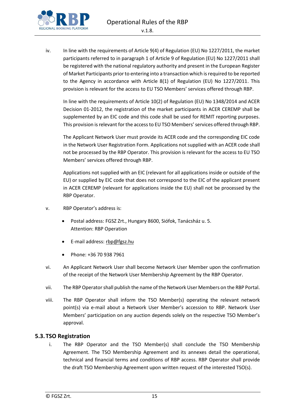

iv. In line with the requirements of Article 9(4) of Regulation (EU) No 1227/2011, the market participants referred to in paragraph 1 of Article 9 of Regulation (EU) No 1227/2011 shall be registered with the national regulatory authority and present in the European Register of Market Participants prior to entering into a transaction which is required to be reported to the Agency in accordance with Article 8(1) of Regulation (EU) No 1227/2011. This provision is relevant for the access to EU TSO Members' services offered through RBP.

In line with the requirements of Article 10(2) of Regulation (EU) No 1348/2014 and ACER Decision 01-2012, the registration of the market participants in ACER CEREMP shall be supplemented by an EIC code and this code shall be used for REMIT reporting purposes. This provision is relevant for the access to EU TSO Members' services offered through RBP.

The Applicant Network User must provide its ACER code and the corresponding EIC code in the Network User Registration Form. Applications not supplied with an ACER code shall not be processed by the RBP Operator. This provision is relevant for the access to EU TSO Members' services offered through RBP.

Applications not supplied with an EIC (relevant for all applications inside or outside of the EU) or supplied by EIC code that does not correspond to the EIC of the applicant present in ACER CEREMP (relevant for applications inside the EU) shall not be processed by the RBP Operator.

- v. RBP Operator's address is:
	- Postal address: FGSZ Zrt., Hungary 8600, Siófok, Tanácsház u. 5. Attention: RBP Operation
	- E-mail address[: rbp@fgsz.hu](mailto:rbp@fgsz.hu)
	- Phone: +36 70 938 7961
- vi. An Applicant Network User shall become Network User Member upon the confirmation of the receipt of the Network User Membership Agreement by the RBP Operator.
- vii. The RBP Operator shall publish the name of the Network User Members on the RBP Portal.
- viii. The RBP Operator shall inform the TSO Member(s) operating the relevant network point(s) via e-mail about a Network User Member's accession to RBP. Network User Members' participation on any auction depends solely on the respective TSO Member's approval.

# <span id="page-14-0"></span>**5.3.TSO Registration**

i. The RBP Operator and the TSO Member(s) shall conclude the TSO Membership Agreement. The TSO Membership Agreement and its annexes detail the operational, technical and financial terms and conditions of RBP access. RBP Operator shall provide the draft TSO Membership Agreement upon written request of the interested TSO(s).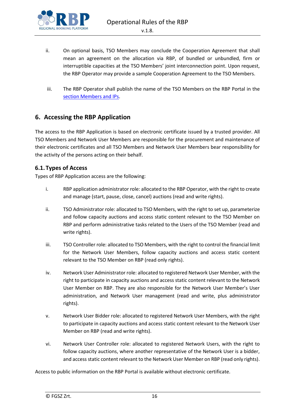

- ii. On optional basis, TSO Members may conclude the Cooperation Agreement that shall mean an agreement on the allocation via RBP, of bundled or unbundled, firm or interruptible capacities at the TSO Members' joint interconnection point. Upon request, the RBP Operator may provide a sample Cooperation Agreement to the TSO Members.
- iii. The RBP Operator shall publish the name of the TSO Members on the RBP Portal in the [section Members and IPs.](https://ipnew.rbp.eu/RBP.eu/#members-and-ips)

# <span id="page-15-0"></span>**6. Accessing the RBP Application**

The access to the RBP Application is based on electronic certificate issued by a trusted provider. All TSO Members and Network User Members are responsible for the procurement and maintenance of their electronic certificates and all TSO Members and Network User Members bear responsibility for the activity of the persons acting on their behalf.

#### <span id="page-15-1"></span>**6.1.Types of Access**

Types of RBP Application access are the following:

- i. RBP application administrator role: allocated to the RBP Operator, with the right to create and manage (start, pause, close, cancel) auctions (read and write rights).
- ii. TSO Administrator role: allocated to TSO Members, with the right to set up, parameterize and follow capacity auctions and access static content relevant to the TSO Member on RBP and perform administrative tasks related to the Users of the TSO Member (read and write rights).
- iii. TSO Controller role: allocated to TSO Members, with the right to control the financial limit for the Network User Members, follow capacity auctions and access static content relevant to the TSO Member on RBP (read only rights).
- iv. Network User Administrator role: allocated to registered Network User Member, with the right to participate in capacity auctions and access static content relevant to the Network User Member on RBP. They are also responsible for the Network User Member's User administration, and Network User management (read and write, plus administrator rights).
- v. Network User Bidder role: allocated to registered Network User Members, with the right to participate in capacity auctions and access static content relevant to the Network User Member on RBP (read and write rights).
- vi. Network User Controller role: allocated to registered Network Users, with the right to follow capacity auctions, where another representative of the Network User is a bidder, and access static content relevant to the Network User Member on RBP (read only rights).

Access to public information on the RBP Portal is available without electronic certificate.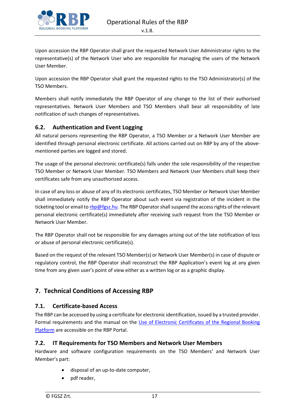

Upon accession the RBP Operator shall grant the requested Network User Administrator rights to the representative(s) of the Network User who are responsible for managing the users of the Network User Member.

Upon accession the RBP Operator shall grant the requested rights to the TSO Administrator(s) of the TSO Members.

Members shall notify immediately the RBP Operator of any change to the list of their authorised representatives. Network User Members and TSO Members shall bear all responsibility of late notification of such changes of representatives.

#### <span id="page-16-0"></span>**6.2. Authentication and Event Logging**

All natural persons representing the RBP Operator, a TSO Member or a Network User Member are identified through personal electronic certificate. All actions carried out on RBP by any of the abovementioned parties are logged and stored.

The usage of the personal electronic certificate(s) falls under the sole responsibility of the respective TSO Member or Network User Member. TSO Members and Network User Members shall keep their certificates safe from any unauthorized access.

In case of any loss or abuse of any of its electronic certificates, TSO Member or Network User Member shall immediately notify the RBP Operator about such event via registration of the incident in the ticketing tool or email t[o rbp@fgsz.hu.](mailto:rbp@fgsz.hu) The RBP Operator shall suspend the access rights of the relevant personal electronic certificate(s) immediately after receiving such request from the TSO Member or Network User Member.

The RBP Operator shall not be responsible for any damages arising out of the late notification of loss or abuse of personal electronic certificate(s).

Based on the request of the relevant TSO Member(s) or Network User Member(s) in case of dispute or regulatory control, the RBP Operator shall reconstruct the RBP Application's event log at any given time from any given user's point of view either as a written log or as a graphic display.

# <span id="page-16-1"></span>**7. Technical Conditions of Accessing RBP**

#### <span id="page-16-2"></span>**7.1. Certificate-based Access**

The RBP can be accessed by using a certificate for electronic identification, issued by a trusted provider. Formal requirements and the manual on the Use of Electronic Certificates of the Regional Booking [Platform](https://ipnew.rbp.eu/rbp.eu/FileContent/use_of_electronic_certificate_on_the_rbp.pdf) are accessible on the RBP Portal.

#### <span id="page-16-3"></span>**7.2. IT Requirements for TSO Members and Network User Members**

Hardware and software configuration requirements on the TSO Members' and Network User Member's part:

- disposal of an up-to-date computer,
- pdf reader,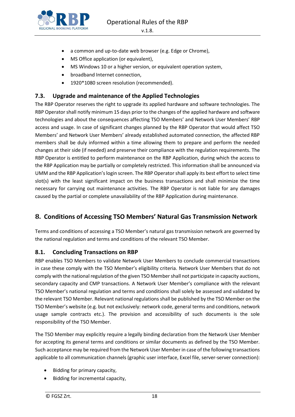

- a common and up-to-date web browser (e.g. Edge or Chrome),
- MS Office application (or equivalent),
- MS Windows 10 or a higher version, or equivalent operation system,
- broadband Internet connection,
- 1920\*1080 screen resolution (recommended).

#### <span id="page-17-0"></span>**7.3. Upgrade and maintenance of the Applied Technologies**

The RBP Operator reserves the right to upgrade its applied hardware and software technologies. The RBP Operator shall notify minimum 15 days prior to the changes of the applied hardware and software technologies and about the consequences affecting TSO Members' and Network User Members' RBP access and usage. In case of significant changes planned by the RBP Operator that would affect TSO Members' and Network User Members' already established automated connection, the affected RBP members shall be duly informed within a time allowing them to prepare and perform the needed changes at their side (if needed) and preserve their compliance with the regulation requirements. The RBP Operator is entitled to perform maintenance on the RBP Application, during which the access to the RBP Application may be partially or completely restricted. This information shall be announced via UMM and the RBP Application's login screen. The RBP Operator shall apply its best effort to select time slot(s) with the least significant impact on the business transactions and shall minimize the time necessary for carrying out maintenance activities. The RBP Operator is not liable for any damages caused by the partial or complete unavailability of the RBP Application during maintenance.

# <span id="page-17-1"></span>**8. Conditions of Accessing TSO Members' Natural Gas Transmission Network**

Terms and conditions of accessing a TSO Member's natural gas transmission network are governed by the national regulation and terms and conditions of the relevant TSO Member.

#### <span id="page-17-2"></span>**8.1. Concluding Transactions on RBP**

RBP enables TSO Members to validate Network User Members to conclude commercial transactions in case these comply with the TSO Member's eligibility criteria. Network User Members that do not comply with the national regulation of the given TSO Member shall not participate in capacity auctions, secondary capacity and CMP transactions. A Network User Member's compliance with the relevant TSO Member's national regulation and terms and conditions shall solely be assessed and validated by the relevant TSO Member. Relevant national regulations shall be published by the TSO Member on the TSO Member's website (e.g. but not exclusively: network code, general terms and conditions, network usage sample contracts etc.). The provision and accessibility of such documents is the sole responsibility of the TSO Member.

The TSO Member may explicitly require a legally binding declaration from the Network User Member for accepting its general terms and conditions or similar documents as defined by the TSO Member. Such acceptance may be required from the Network User Member in case of the following transactions applicable to all communication channels (graphic user interface, Excel file, server-server connection):

- Bidding for primary capacity,
- Bidding for incremental capacity,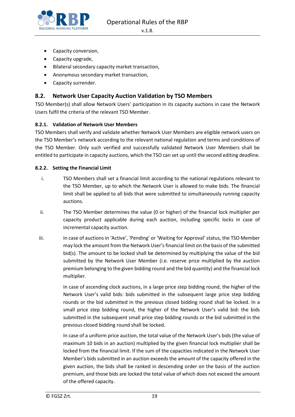

- Capacity conversion,
- Capacity upgrade,
- Bilateral secondary capacity market transaction,
- Anonymous secondary market transaction,
- Capacity surrender.

#### <span id="page-18-0"></span>**8.2. Network User Capacity Auction Validation by TSO Members**

TSO Member(s) shall allow Network Users' participation in its capacity auctions in case the Network Users fulfil the criteria of the relevant TSO Member.

#### <span id="page-18-1"></span>**8.2.1. Validation of Network User Members**

TSO Members shall verify and validate whether Network User Members are eligible network users on the TSO Member's network according to the relevant national regulation and terms and conditions of the TSO Member. Only such verified and successfully validated Network User Members shall be entitled to participate in capacity auctions, which the TSO can set up until the second editing deadline.

#### <span id="page-18-2"></span>**8.2.2. Setting the Financial Limit**

- i. TSO Members shall set a financial limit according to the national regulations relevant to the TSO Member, up to which the Network User is allowed to make bids. The financial limit shall be applied to all bids that were submitted to simultaneously running capacity auctions.
- ii. The TSO Member determines the value (0 or higher) of the financial lock multiplier per capacity product applicable during each auction, including specific locks in case of incremental capacity auction.
- iii. In case of auctions in 'Active', 'Pending' or 'Waiting for Approval' status, the TSO Member may lock the amount from the Network User's financial limit on the basis of the submitted bid(s). The amount to be locked shall be determined by multiplying the value of the bid submitted by the Network User Member (i.e. reserve price multiplied by the auction premium belonging to the given bidding round and the bid quantity) and the financial lock multiplier.

In case of ascending clock auctions, in a large price step bidding round, the higher of the Network User's valid bids: bids submitted in the subsequent large price step bidding rounds or the bid submitted in the previous closed bidding round shall be locked. In a small price step bidding round, the higher of the Network User's valid bid: the bids submitted in the subsequent small price step bidding rounds or the bid submitted in the previous closed bidding round shall be locked.

In case of a uniform price auction, the total value of the Network User's bids (the value of maximum 10 bids in an auction) multiplied by the given financial lock multiplier shall be locked from the financial limit. If the sum of the capacities indicated in the Network User Member's bids submitted in an auction exceeds the amount of the capacity offered in the given auction, the bids shall be ranked in descending order on the basis of the auction premium, and those bids are locked the total value of which does not exceed the amount of the offered capacity.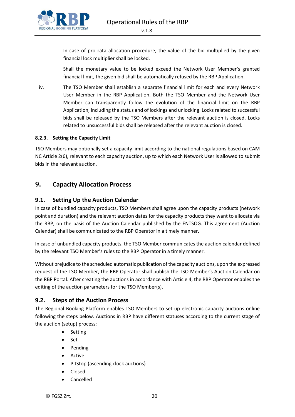

In case of pro rata allocation procedure, the value of the bid multiplied by the given financial lock multiplier shall be locked.

Shall the monetary value to be locked exceed the Network User Member's granted financial limit, the given bid shall be automatically refused by the RBP Application.

iv. The TSO Member shall establish a separate financial limit for each and every Network User Member in the RBP Application. Both the TSO Member and the Network User Member can transparently follow the evolution of the financial limit on the RBP Application, including the status and of lockings and unlocking. Locks related to successful bids shall be released by the TSO Members after the relevant auction is closed. Locks related to unsuccessful bids shall be released after the relevant auction is closed.

#### <span id="page-19-0"></span>**8.2.3. Setting the Capacity Limit**

TSO Members may optionally set a capacity limit according to the national regulations based on CAM NC Article 2(6), relevant to each capacity auction, up to which each Network User is allowed to submit bids in the relevant auction.

# <span id="page-19-1"></span>**9. Capacity Allocation Process**

#### <span id="page-19-2"></span>**9.1. Setting Up the Auction Calendar**

In case of bundled capacity products, TSO Members shall agree upon the capacity products (network point and duration) and the relevant auction dates for the capacity products they want to allocate via the RBP, on the basis of the Auction Calendar published by the ENTSOG. This agreement (Auction Calendar) shall be communicated to the RBP Operator in a timely manner.

In case of unbundled capacity products, the TSO Member communicates the auction calendar defined by the relevant TSO Member's rules to the RBP Operator in a timely manner.

Without prejudice to the scheduled automatic publication of the capacity auctions, upon the expressed request of the TSO Member, the RBP Operator shall publish the TSO Member's Auction Calendar on the RBP Portal. After creating the auctions in accordance with Article 4, the RBP Operator enables the editing of the auction parameters for the TSO Member(s).

#### <span id="page-19-3"></span>**9.2. Steps of the Auction Process**

The Regional Booking Platform enables TSO Members to set up electronic capacity auctions online following the steps below. Auctions in RBP have different statuses according to the current stage of the auction (setup) process:

- Setting
- Set
- Pending
- Active
- PitStop (ascending clock auctions)
- Closed
- **Cancelled**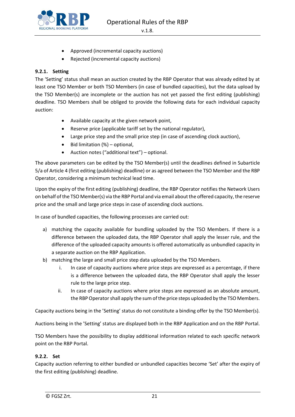

- Approved (incremental capacity auctions)
- Rejected (incremental capacity auctions)

## <span id="page-20-0"></span>**9.2.1. Setting**

The 'Setting' status shall mean an auction created by the RBP Operator that was already edited by at least one TSO Member or both TSO Members (in case of bundled capacities), but the data upload by the TSO Member(s) are incomplete or the auction has not yet passed the first editing (publishing) deadline. TSO Members shall be obliged to provide the following data for each individual capacity auction:

- Available capacity at the given network point,
- Reserve price (applicable tariff set by the national regulator),
- Large price step and the small price step (in case of ascending clock auction),
- Bid limitation (%) optional,
- Auction notes ("additional text") optional.

The above parameters can be edited by the TSO Member(s) until the deadlines defined in Subarticle 5/a of Article 4 (first editing (publishing) deadline) or as agreed between the TSO Member and the RBP Operator, considering a minimum technical lead time.

Upon the expiry of the first editing (publishing) deadline, the RBP Operator notifies the Network Users on behalf of the TSO Member(s) via the RBP Portal and via email about the offered capacity, the reserve price and the small and large price steps in case of ascending clock auctions.

In case of bundled capacities, the following processes are carried out:

- a) matching the capacity available for bundling uploaded by the TSO Members. If there is a difference between the uploaded data, the RBP Operator shall apply the lesser rule, and the difference of the uploaded capacity amounts is offered automatically as unbundled capacity in a separate auction on the RBP Application.
- b) matching the large and small price step data uploaded by the TSO Members.
	- i. In case of capacity auctions where price steps are expressed as a percentage, if there is a difference between the uploaded data, the RBP Operator shall apply the lesser rule to the large price step.
	- ii. In case of capacity auctions where price steps are expressed as an absolute amount, the RBP Operator shall apply the sum of the price steps uploaded by the TSO Members.

Capacity auctions being in the 'Setting' status do not constitute a binding offer by the TSO Member(s).

Auctions being in the 'Setting' status are displayed both in the RBP Application and on the RBP Portal.

TSO Members have the possibility to display additional information related to each specific network point on the RBP Portal.

#### <span id="page-20-1"></span>**9.2.2. Set**

Capacity auction referring to either bundled or unbundled capacities become 'Set' after the expiry of the first editing (publishing) deadline.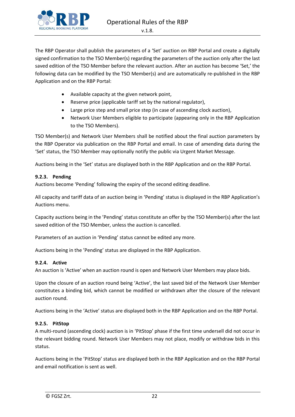

The RBP Operator shall publish the parameters of a 'Set' auction on RBP Portal and create a digitally signed confirmation to the TSO Member(s) regarding the parameters of the auction only after the last saved edition of the TSO Member before the relevant auction. After an auction has become 'Set,' the following data can be modified by the TSO Member(s) and are automatically re-published in the RBP Application and on the RBP Portal:

- Available capacity at the given network point,
- Reserve price (applicable tariff set by the national regulator),
- Large price step and small price step (in case of ascending clock auction),
- Network User Members eligible to participate (appearing only in the RBP Application to the TSO Members).

TSO Member(s) and Network User Members shall be notified about the final auction parameters by the RBP Operator via publication on the RBP Portal and email. In case of amending data during the 'Set' status, the TSO Member may optionally notify the public via Urgent Market Message.

Auctions being in the 'Set' status are displayed both in the RBP Application and on the RBP Portal.

#### <span id="page-21-0"></span>**9.2.3. Pending**

Auctions become 'Pending' following the expiry of the second editing deadline.

All capacity and tariff data of an auction being in 'Pending' status is displayed in the RBP Application's Auctions menu.

Capacity auctions being in the 'Pending' status constitute an offer by the TSO Member(s) after the last saved edition of the TSO Member, unless the auction is cancelled.

Parameters of an auction in 'Pending' status cannot be edited any more.

Auctions being in the 'Pending' status are displayed in the RBP Application.

#### <span id="page-21-1"></span>**9.2.4. Active**

An auction is 'Active' when an auction round is open and Network User Members may place bids.

Upon the closure of an auction round being 'Active', the last saved bid of the Network User Member constitutes a binding bid, which cannot be modified or withdrawn after the closure of the relevant auction round.

Auctions being in the 'Active' status are displayed both in the RBP Application and on the RBP Portal.

#### <span id="page-21-2"></span>**9.2.5. PitStop**

A multi-round (ascending clock) auction is in 'PitStop' phase if the first time undersell did not occur in the relevant bidding round. Network User Members may not place, modify or withdraw bids in this status.

Auctions being in the 'PitStop' status are displayed both in the RBP Application and on the RBP Portal and email notification is sent as well.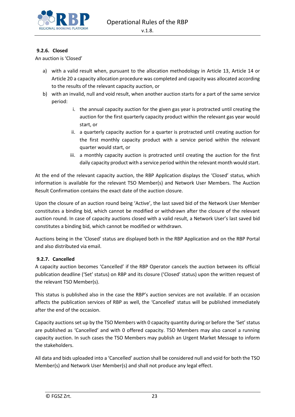

#### <span id="page-22-0"></span>**9.2.6. Closed**

An auction is 'Closed'

- a) with a valid result when, pursuant to the allocation methodology in Article 13, Article 14 or Article 20 a capacity allocation procedure was completed and capacity was allocated according to the results of the relevant capacity auction, or
- b) with an invalid, null and void result, when another auction starts for a part of the same service period:
	- i. the annual capacity auction for the given gas year is protracted until creating the auction for the first quarterly capacity product within the relevant gas year would start, or
	- ii. a quarterly capacity auction for a quarter is protracted until creating auction for the first monthly capacity product with a service period within the relevant quarter would start, or
	- iii. a monthly capacity auction is protracted until creating the auction for the first daily capacity product with a service period within the relevant month would start.

At the end of the relevant capacity auction, the RBP Application displays the 'Closed' status, which information is available for the relevant TSO Member(s) and Network User Members. The Auction Result Confirmation contains the exact date of the auction closure.

Upon the closure of an auction round being 'Active', the last saved bid of the Network User Member constitutes a binding bid, which cannot be modified or withdrawn after the closure of the relevant auction round. In case of capacity auctions closed with a valid result, a Network User's last saved bid constitutes a binding bid, which cannot be modified or withdrawn.

Auctions being in the 'Closed' status are displayed both in the RBP Application and on the RBP Portal and also distributed via email.

#### <span id="page-22-1"></span>**9.2.7. Cancelled**

A capacity auction becomes 'Cancelled' if the RBP Operator cancels the auction between its official publication deadline ('Set' status) on RBP and its closure ('Closed' status) upon the written request of the relevant TSO Member(s).

This status is published also in the case the RBP's auction services are not available. If an occasion affects the publication services of RBP as well, the 'Cancelled' status will be published immediately after the end of the occasion.

Capacity auctions set up by the TSO Members with 0 capacity quantity during or before the 'Set' status are published as 'Cancelled' and with 0 offered capacity. TSO Members may also cancel a running capacity auction. In such cases the TSO Members may publish an Urgent Market Message to inform the stakeholders.

All data and bids uploaded into a 'Cancelled' auction shall be considered null and void for both the TSO Member(s) and Network User Member(s) and shall not produce any legal effect.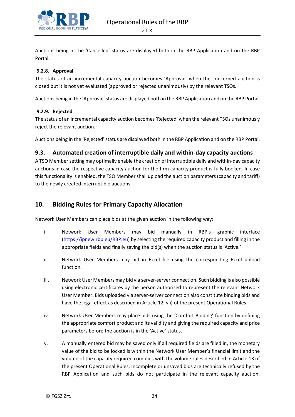

Auctions being in the 'Cancelled' status are displayed both in the RBP Application and on the RBP Portal.

#### <span id="page-23-0"></span>**9.2.8. Approval**

The status of an incremental capacity auction becomes 'Approval' when the concerned auction is closed but it is not yet evaluated (approved or rejected unanimously) by the relevant TSOs.

Auctions being in the 'Approval' status are displayed both in the RBP Application and on the RBP Portal.

#### <span id="page-23-1"></span>**9.2.9. Rejected**

The status of an incremental capacity auction becomes 'Rejected' when the relevant TSOs unanimously reject the relevant auction.

Auctions being in the 'Rejected' status are displayed both in the RBP Application and on the RBP Portal.

#### <span id="page-23-2"></span>**9.3. Automated creation of interruptible daily and within-day capacity auctions**

A TSO Member setting may optimally enable the creation of interruptible daily and within-day capacity auctions in case the respective capacity auction for the firm capacity product is fully booked. In case this functionality is enabled, the TSO Member shall upload the auction parameters (capacity and tariff) to the newly created interruptible auctions.

# <span id="page-23-3"></span>**10. Bidding Rules for Primary Capacity Allocation**

Network User Members can place bids at the given auction in the following way:

- i. Network User Members may bid manually in RBP's graphic interface (https://ipnew.rbp.eu/RBP.eu) by selecting the required capacity product and filling in the appropriate fields and finally saving the bid(s) when the auction status is 'Active.'
- ii. Network User Members may bid in Excel file using the corresponding Excel upload function.
- iii. Network User Members may bid via server-server connection. Such bidding is also possible using electronic certificates by the person authorised to represent the relevant Network User Member. Bids uploaded via server-server connection also constitute binding bids and have the legal effect as described in Article 12. vii) of the present Operational Rules.
- iv. Network User Members may place bids using the 'Comfort Bidding' function by defining the appropriate comfort product and its validity and giving the required capacity and price parameters before the auction is in the 'Active' status.
- v. A manually entered bid may be saved only if all required fields are filled in, the monetary value of the bid to be locked is within the Network User Member's financial limit and the volume of the capacity required complies with the volume rules described in Article 13 of the present Operational Rules. Incomplete or unsaved bids are technically refused by the RBP Application and such bids do not participate in the relevant capacity auction.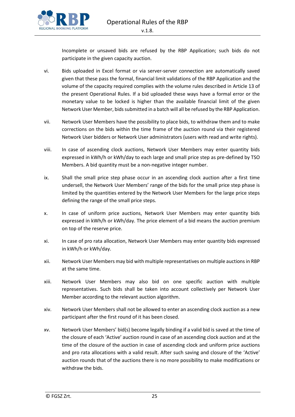

Incomplete or unsaved bids are refused by the RBP Application; such bids do not participate in the given capacity auction.

- vi. Bids uploaded in Excel format or via server-server connection are automatically saved given that these pass the formal, financial limit validations of the RBP Application and the volume of the capacity required complies with the volume rules described in Article 13 of the present Operational Rules. If a bid uploaded these ways have a formal error or the monetary value to be locked is higher than the available financial limit of the given Network User Member, bids submitted in a batch will all be refused by the RBP Application.
- vii. Network User Members have the possibility to place bids, to withdraw them and to make corrections on the bids within the time frame of the auction round via their registered Network User bidders or Network User administrators (users with read and write rights).
- viii. In case of ascending clock auctions, Network User Members may enter quantity bids expressed in kWh/h or kWh/day to each large and small price step as pre-defined by TSO Members. A bid quantity must be a non-negative integer number.
- ix. Shall the small price step phase occur in an ascending clock auction after a first time undersell, the Network User Members' range of the bids for the small price step phase is limited by the quantities entered by the Network User Members for the large price steps defining the range of the small price steps.
- x. In case of uniform price auctions, Network User Members may enter quantity bids expressed in kWh/h or kWh/day. The price element of a bid means the auction premium on top of the reserve price.
- xi. In case of pro rata allocation, Network User Members may enter quantity bids expressed in kWh/h or kWh/day.
- xii. Network User Members may bid with multiple representatives on multiple auctions in RBP at the same time.
- xiii. Network User Members may also bid on one specific auction with multiple representatives. Such bids shall be taken into account collectively per Network User Member according to the relevant auction algorithm.
- xiv. Network User Members shall not be allowed to enter an ascending clock auction as a new participant after the first round of it has been closed.
- xv. Network User Members' bid(s) become legally binding if a valid bid is saved at the time of the closure of each 'Active' auction round in case of an ascending clock auction and at the time of the closure of the auction in case of ascending clock and uniform price auctions and pro rata allocations with a valid result. After such saving and closure of the 'Active' auction rounds that of the auctions there is no more possibility to make modifications or withdraw the bids.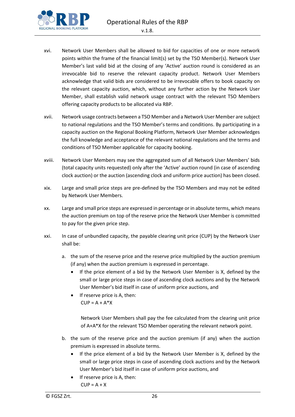Operational Rules of the RBP



- xvi. Network User Members shall be allowed to bid for capacities of one or more network points within the frame of the financial limit(s) set by the TSO Member(s). Network User Member's last valid bid at the closing of any 'Active' auction round is considered as an irrevocable bid to reserve the relevant capacity product. Network User Members acknowledge that valid bids are considered to be irrevocable offers to book capacity on the relevant capacity auction, which, without any further action by the Network User Member, shall establish valid network usage contract with the relevant TSO Members offering capacity products to be allocated via RBP.
- xvii. Network usage contracts between a TSO Member and a Network User Member are subject to national regulations and the TSO Member's terms and conditions. By participating in a capacity auction on the Regional Booking Platform, Network User Member acknowledges the full knowledge and acceptance of the relevant national regulations and the terms and conditions of TSO Member applicable for capacity booking.
- xviii. Network User Members may see the aggregated sum of all Network User Members' bids (total capacity units requested) only after the 'Active' auction round (in case of ascending clock auction) or the auction (ascending clock and uniform price auction) has been closed.
- xix. Large and small price steps are pre-defined by the TSO Members and may not be edited by Network User Members.
- xx. Large and small price steps are expressed in percentage or in absolute terms, which means the auction premium on top of the reserve price the Network User Member is committed to pay for the given price step.
- xxi. In case of unbundled capacity, the payable clearing unit price (CUP) by the Network User shall be:
	- a. the sum of the reserve price and the reserve price multiplied by the auction premium (if any) when the auction premium is expressed in percentage.
		- If the price element of a bid by the Network User Member is X, defined by the small or large price steps in case of ascending clock auctions and by the Network User Member's bid itself in case of uniform price auctions, and
		- If reserve price is A, then:  $CUP = A + A^*X$

Network User Members shall pay the fee calculated from the clearing unit price of A+A\*X for the relevant TSO Member operating the relevant network point.

- b. the sum of the reserve price and the auction premium (if any) when the auction premium is expressed in absolute terms.
	- If the price element of a bid by the Network User Member is X, defined by the small or large price steps in case of ascending clock auctions and by the Network User Member's bid itself in case of uniform price auctions, and
	- If reserve price is A, then:  $CUP = A + X$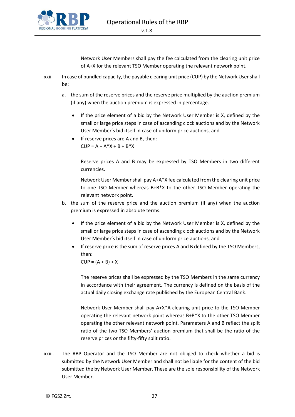

Network User Members shall pay the fee calculated from the clearing unit price of A+X for the relevant TSO Member operating the relevant network point.

- xxii. In case of bundled capacity, the payable clearing unit price (CUP) by the Network User shall be:
	- a. the sum of the reserve prices and the reserve price multiplied by the auction premium (if any) when the auction premium is expressed in percentage.
		- If the price element of a bid by the Network User Member is X, defined by the small or large price steps in case of ascending clock auctions and by the Network User Member's bid itself in case of uniform price auctions, and
		- If reserve prices are A and B, then:  $CUP = A + A^*X + B + B^*X$

Reserve prices A and B may be expressed by TSO Members in two different currencies.

Network User Member shall pay A+A\*X fee calculated from the clearing unit price to one TSO Member whereas B+B\*X to the other TSO Member operating the relevant network point.

- b. the sum of the reserve price and the auction premium (if any) when the auction premium is expressed in absolute terms.
	- If the price element of a bid by the Network User Member is X, defined by the small or large price steps in case of ascending clock auctions and by the Network User Member's bid itself in case of uniform price auctions, and
	- If reserve price is the sum of reserve prices A and B defined by the TSO Members, then:

 $CUP = (A + B) + X$ 

The reserve prices shall be expressed by the TSO Members in the same currency in accordance with their agreement. The currency is defined on the basis of the actual daily closing exchange rate published by the European Central Bank.

Network User Member shall pay A+X\*A clearing unit price to the TSO Member operating the relevant network point whereas B+B\*X to the other TSO Member operating the other relevant network point. Parameters A and B reflect the split ratio of the two TSO Members' auction premium that shall be the ratio of the reserve prices or the fifty-fifty split ratio.

xxiii. The RBP Operator and the TSO Member are not obliged to check whether a bid is submitted by the Network User Member and shall not be liable for the content of the bid submitted the by Network User Member. These are the sole responsibility of the Network User Member.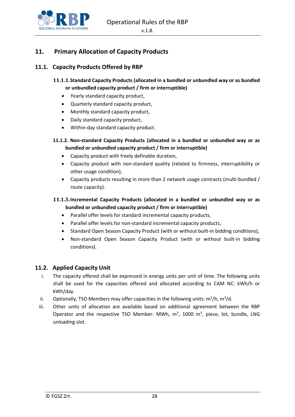

v.1.8.

# <span id="page-27-0"></span>**11. Primary Allocation of Capacity Products**

# <span id="page-27-2"></span><span id="page-27-1"></span>**11.1. Capacity Products Offered by RBP**

# **11.1.1.Standard Capacity Products (allocated in a bundled or unbundled way or as bundled or unbundled capacity product / firm or interruptible)**

- Yearly standard capacity product,
- Quarterly standard capacity product,
- Monthly standard capacity product,
- Daily standard capacity product,
- Within-day standard capacity product.

## <span id="page-27-3"></span>**11.1.2. Non-standard Capacity Products (allocated in a bundled or unbundled way or as bundled or unbundled capacity product / firm or interruptible)**

- Capacity product with freely definable duration,
- Capacity product with non-standard quality (related to firmness, interruptibility or other usage condition),
- Capacity products resulting in more than 2 network usage contracts (multi-bundled / route capacity).

# <span id="page-27-4"></span>**11.1.3.Incremental Capacity Products (allocated in a bundled or unbundled way or as bundled or unbundled capacity product / firm or interruptible)**

- Parallel offer levels for standard incremental capacity products,
- Parallel offer levels for non-standard incremental capacity products,
- Standard Open Season Capacity Product (with or without built-in bidding conditions),
- Non-standard Open Season Capacity Product (with or without built-in bidding conditions).

#### <span id="page-27-5"></span>**11.2. Applied Capacity Unit**

- i. The capacity offered shall be expressed in energy units per unit of time. The following units shall be used for the capacities offered and allocated according to CAM NC: kWh/h or kWh/day.
- ii. Optionally, TSO Members may offer capacities in the following units:  $m^3/h$ ,  $m^3/d$ .
- iii. Other units of allocation are available based on additional agreement between the RBP Operator and the respective TSO Member: MWh,  $m^3$ , 1000  $m^3$ , piece, lot, bundle, LNG unloading slot.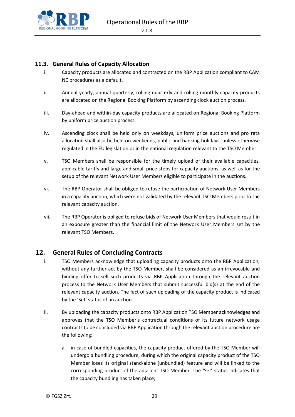

# <span id="page-28-0"></span>**11.3. General Rules of Capacity Allocation**

- i. Capacity products are allocated and contracted on the RBP Application compliant to CAM NC procedures as a default.
- ii. Annual yearly, annual quarterly, rolling quarterly and rolling monthly capacity products are allocated on the Regional Booking Platform by ascending clock auction process.
- iii. Day-ahead and within-day capacity products are allocated on Regional Booking Platform by uniform price auction process.
- iv. Ascending clock shall be held only on weekdays, uniform price auctions and pro rata allocation shall also be held on weekends, public and banking holidays, unless otherwise regulated in the EU legislation or in the national regulation relevant to the TSO Member.
- v. TSO Members shall be responsible for the timely upload of their available capacities, applicable tariffs and large and small price steps for capacity auctions, as well as for the setup of the relevant Network User Members eligible to participate in the auctions.
- vi. The RBP Operator shall be obliged to refuse the participation of Network User Members in a capacity auction, which were not validated by the relevant TSO Members prior to the relevant capacity auction.
- vii. The RBP Operator is obliged to refuse bids of Network User Members that would result in an exposure greater than the financial limit of the Network User Members set by the relevant TSO Members.

# <span id="page-28-1"></span>**12. General Rules of Concluding Contracts**

- i. TSO Members acknowledge that uploading capacity products onto the RBP Application, without any further act by the TSO Member, shall be considered as an irrevocable and binding offer to sell such products via RBP Application through the relevant auction process to the Network User Members that submit successful bid(s) at the end of the relevant capacity auction. The fact of such uploading of the capacity product is indicated by the 'Set' status of an auction.
- ii. By uploading the capacity products onto RBP Application TSO Member acknowledges and approves that the TSO Member's contractual conditions of its future network usage contracts to be concluded via RBP Application through the relevant auction procedure are the following:
	- a. in case of bundled capacities, the capacity product offered by the TSO Member will undergo a bundling procedure, during which the original capacity product of the TSO Member loses its original stand-alone (unbundled) feature and will be linked to the corresponding product of the adjacent TSO Member. The 'Set' status indicates that the capacity bundling has taken place;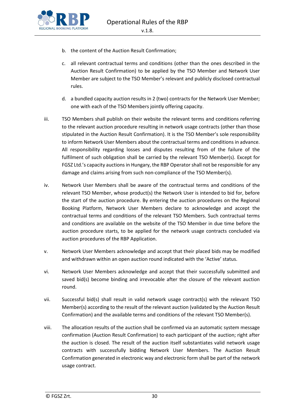

- b. the content of the Auction Result Confirmation;
- c. all relevant contractual terms and conditions (other than the ones described in the Auction Result Confirmation) to be applied by the TSO Member and Network User Member are subject to the TSO Member's relevant and publicly disclosed contractual rules.
- d. a bundled capacity auction results in 2 (two) contracts for the Network User Member; one with each of the TSO Members jointly offering capacity.
- iii. TSO Members shall publish on their website the relevant terms and conditions referring to the relevant auction procedure resulting in network usage contracts (other than those stipulated in the Auction Result Confirmation). It is the TSO Member's sole responsibility to inform Network User Members about the contractual terms and conditions in advance. All responsibility regarding losses and disputes resulting from of the failure of the fulfilment of such obligation shall be carried by the relevant TSO Member(s). Except for FGSZ Ltd.'s capacity auctions in Hungary, the RBP Operator shall not be responsible for any damage and claims arising from such non-compliance of the TSO Member(s).
- iv. Network User Members shall be aware of the contractual terms and conditions of the relevant TSO Member, whose product(s) the Network User is intended to bid for, before the start of the auction procedure. By entering the auction procedures on the Regional Booking Platform, Network User Members declare to acknowledge and accept the contractual terms and conditions of the relevant TSO Members. Such contractual terms and conditions are available on the website of the TSO Member in due time before the auction procedure starts, to be applied for the network usage contracts concluded via auction procedures of the RBP Application.
- v. Network User Members acknowledge and accept that their placed bids may be modified and withdrawn within an open auction round indicated with the 'Active' status.
- vi. Network User Members acknowledge and accept that their successfully submitted and saved bid(s) become binding and irrevocable after the closure of the relevant auction round.
- vii. Successful bid(s) shall result in valid network usage contract(s) with the relevant TSO Member(s) according to the result of the relevant auction (validated by the Auction Result Confirmation) and the available terms and conditions of the relevant TSO Member(s).
- viii. The allocation results of the auction shall be confirmed via an automatic system message confirmation (Auction Result Confirmation) to each participant of the auction; right after the auction is closed. The result of the auction itself substantiates valid network usage contracts with successfully bidding Network User Members. The Auction Result Confirmation generated in electronic way and electronic form shall be part of the network usage contract.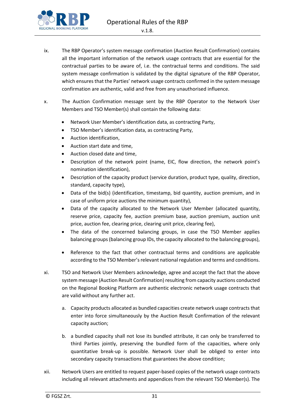Operational Rules of the RBP



- ix. The RBP Operator's system message confirmation (Auction Result Confirmation) contains all the important information of the network usage contracts that are essential for the contractual parties to be aware of, i.e. the contractual terms and conditions. The said system message confirmation is validated by the digital signature of the RBP Operator, which ensures that the Parties' network usage contracts confirmed in the system message confirmation are authentic, valid and free from any unauthorised influence.
- x. The Auction Confirmation message sent by the RBP Operator to the Network User Members and TSO Member(s) shall contain the following data:
	- Network User Member's identification data, as contracting Party,
	- TSO Member's identification data, as contracting Party,
	- Auction identification,
	- Auction start date and time,
	- Auction closed date and time,
	- Description of the network point (name, EIC, flow direction, the network point's nomination identification),
	- Description of the capacity product (service duration, product type, quality, direction, standard, capacity type),
	- Data of the bid(s) (identification, timestamp, bid quantity, auction premium, and in case of uniform price auctions the minimum quantity),
	- Data of the capacity allocated to the Network User Member (allocated quantity, reserve price, capacity fee, auction premium base, auction premium, auction unit price, auction fee, clearing price, clearing unit price, clearing fee),
	- The data of the concerned balancing groups, in case the TSO Member applies balancing groups (balancing group IDs, the capacity allocated to the balancing groups),
	- Reference to the fact that other contractual terms and conditions are applicable according to the TSO Member's relevant national regulation and terms and conditions.
- xi. TSO and Network User Members acknowledge, agree and accept the fact that the above system message (Auction Result Confirmation) resulting from capacity auctions conducted on the Regional Booking Platform are authentic electronic network usage contracts that are valid without any further act.
	- a. Capacity products allocated as bundled capacities create network usage contracts that enter into force simultaneously by the Auction Result Confirmation of the relevant capacity auction;
	- b. a bundled capacity shall not lose its bundled attribute, it can only be transferred to third Parties jointly, preserving the bundled form of the capacities, where only quantitative break-up is possible. Network User shall be obliged to enter into secondary capacity transactions that guarantees the above condition;
- xii. Network Users are entitled to request paper-based copies of the network usage contracts including all relevant attachments and appendices from the relevant TSO Member(s). The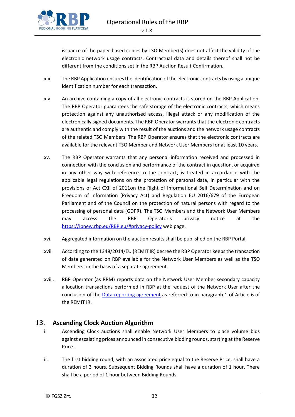

issuance of the paper-based copies by TSO Member(s) does not affect the validity of the electronic network usage contracts. Contractual data and details thereof shall not be different from the conditions set in the RBP Auction Result Confirmation.

- xiii. The RBP Application ensures the identification of the electronic contracts by using a unique identification number for each transaction.
- xiv. An archive containing a copy of all electronic contracts is stored on the RBP Application. The RBP Operator guarantees the safe storage of the electronic contracts, which means protection against any unauthorised access, illegal attack or any modification of the electronically signed documents. The RBP Operator warrants that the electronic contracts are authentic and comply with the result of the auctions and the network usage contracts of the related TSO Members. The RBP Operator ensures that the electronic contracts are available for the relevant TSO Member and Network User Members for at least 10 years.
- xv. The RBP Operator warrants that any personal information received and processed in connection with the conclusion and performance of the contract in question, or acquired in any other way with reference to the contract, is treated in accordance with the applicable legal regulations on the protection of personal data, in particular with the provisions of Act CXII of 2011on the Right of Informational Self Determination and on Freedom of Information (Privacy Act) and Regulation EU 2016/679 of the European Parliament and of the Council on the protection of natural persons with regard to the processing of personal data (GDPR). The TSO Members and the Network User Members may access the RBP Operator's privacy notice at the <https://ipnew.rbp.eu/RBP.eu/#privacy-policy> web page.
- xvi. Aggregated information on the auction results shall be published on the RBP Portal.
- xvii. According to the 1348/2014/EU (REMIT IR) decree the RBP Operator keeps the transaction of data generated on RBP available for the Network User Members as well as the TSO Members on the basis of a separate agreement.
- xviii. RBP Operator (as RRM) reports data on the Network User Member secondary capacity allocation transactions performed in RBP at the request of the Network User after the conclusion of the [Data reporting agreement](https://ipnew.rbp.eu/rbp.eu/FileContent/numa_with_annexes.pdf) as referred to in paragraph 1 of Article 6 of the REMIT IR.

# <span id="page-31-0"></span>**13. Ascending Clock Auction Algorithm**

- i. Ascending Clock auctions shall enable Network User Members to place volume bids against escalating prices announced in consecutive bidding rounds, starting at the Reserve Price.
- ii. The first bidding round, with an associated price equal to the Reserve Price, shall have a duration of 3 hours. Subsequent Bidding Rounds shall have a duration of 1 hour. There shall be a period of 1 hour between Bidding Rounds.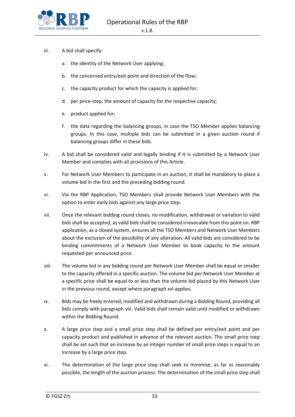

- iii. A bid shall specify:
	- a. the identity of the Network User applying;
	- b. the concerned entry/exit point and direction of the flow;
	- c. the capacity product for which the capacity is applied for;
	- d. per price-step, the amount of capacity for the respective capacity;
	- e. product applied for;
	- f. the data regarding the balancing groups, in case the TSO Member applies balancing groups. In this case, multiple bids can be submitted in a given auction round if balancing groups differ in these bids.
- iv. A bid shall be considered valid and legally binding if it is submitted by a Network User Member and complies with all provisions of this Article.
- v. For Network User Members to participate in an auction, it shall be mandatory to place a volume bid in the first and the preceding bidding round.
- vi. Via the RBP Application, TSO Members shall provide Network User Members with the option to enter early bids against any large price step.
- vii. Once the relevant bidding round closes, no modification, withdrawal or variation to valid bids shall be accepted, as valid bids shall be considered irrevocable from this point on. RBP application, as a closed system, ensures all the TSO Members and Network User Members about the exclusion of the possibility of any alteration. All valid bids are considered to be binding commitments of a Network User Member to book capacity to the amount requested per announced price.
- viii. The volume bid in any bidding round per Network User Member shall be equal or smaller to the capacity offered in a specific auction. The volume bid per Network User Member at a specific price shall be equal to or less than the volume bid placed by this Network User in the previous round, except where paragraph xvi applies.
- ix. Bids may be freely entered, modified and withdrawn during a Bidding Round, providing all bids comply with paragraph viii. Valid bids shall remain valid until modified or withdrawn within the Bidding Round.
- x. A large price step and a small price step shall be defined per entry/exit point and per capacity product and published in advance of the relevant auction. The small price step shall be set such that an increase by an integer number of small price steps is equal to an increase by a large price step.
- xi. The determination of the large price step shall seek to minimise, as far as reasonably possible, the length of the auction process. The determination of the small price step shall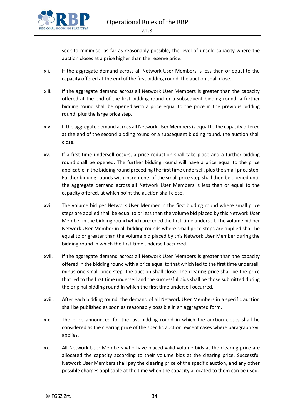

seek to minimise, as far as reasonably possible, the level of unsold capacity where the auction closes at a price higher than the reserve price.

- xii. If the aggregate demand across all Network User Members is less than or equal to the capacity offered at the end of the first bidding round, the auction shall close.
- xiii. If the aggregate demand across all Network User Members is greater than the capacity offered at the end of the first bidding round or a subsequent bidding round, a further bidding round shall be opened with a price equal to the price in the previous bidding round, plus the large price step.
- xiv. If the aggregate demand across all Network User Members is equal to the capacity offered at the end of the second bidding round or a subsequent bidding round, the auction shall close.
- xv. If a first time undersell occurs, a price reduction shall take place and a further bidding round shall be opened. The further bidding round will have a price equal to the price applicable in the bidding round preceding the first time undersell, plus the small price step. Further bidding rounds with increments of the small price step shall then be opened until the aggregate demand across all Network User Members is less than or equal to the capacity offered, at which point the auction shall close.
- xvi. The volume bid per Network User Member in the first bidding round where small price steps are applied shall be equal to or less than the volume bid placed by this Network User Member in the bidding round which preceded the first-time undersell. The volume bid per Network User Member in all bidding rounds where small price steps are applied shall be equal to or greater than the volume bid placed by this Network User Member during the bidding round in which the first-time undersell occurred.
- xvii. If the aggregate demand across all Network User Members is greater than the capacity offered in the bidding round with a price equal to that which led to the first time undersell, minus one small price step, the auction shall close. The clearing price shall be the price that led to the first time undersell and the successful bids shall be those submitted during the original bidding round in which the first time undersell occurred.
- xviii. After each bidding round, the demand of all Network User Members in a specific auction shall be published as soon as reasonably possible in an aggregated form.
- xix. The price announced for the last bidding round in which the auction closes shall be considered as the clearing price of the specific auction, except cases where paragraph xvii applies.
- xx. All Network User Members who have placed valid volume bids at the clearing price are allocated the capacity according to their volume bids at the clearing price. Successful Network User Members shall pay the clearing price of the specific auction, and any other possible charges applicable at the time when the capacity allocated to them can be used.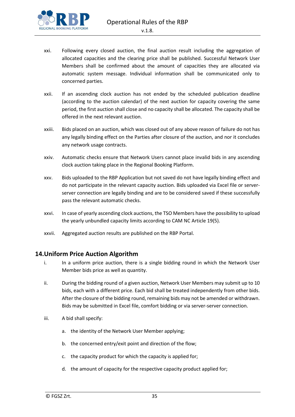Operational Rules of the RBP



- xxi. Following every closed auction, the final auction result including the aggregation of allocated capacities and the clearing price shall be published. Successful Network User Members shall be confirmed about the amount of capacities they are allocated via automatic system message. Individual information shall be communicated only to concerned parties.
- xxii. If an ascending clock auction has not ended by the scheduled publication deadline (according to the auction calendar) of the next auction for capacity covering the same period, the first auction shall close and no capacity shall be allocated. The capacity shall be offered in the next relevant auction.
- xxiii. Bids placed on an auction, which was closed out of any above reason of failure do not has any legally binding effect on the Parties after closure of the auction, and nor it concludes any network usage contracts.
- xxiv. Automatic checks ensure that Network Users cannot place invalid bids in any ascending clock auction taking place in the Regional Booking Platform.
- xxv. Bids uploaded to the RBP Application but not saved do not have legally binding effect and do not participate in the relevant capacity auction. Bids uploaded via Excel file or serverserver connection are legally binding and are to be considered saved if these successfully pass the relevant automatic checks.
- xxvi. In case of yearly ascending clock auctions, the TSO Members have the possibility to upload the yearly unbundled capacity limits according to CAM NC Article 19(5).
- xxvii. Aggregated auction results are published on the RBP Portal.

# <span id="page-34-0"></span>**14.Uniform Price Auction Algorithm**

- i. In a uniform price auction, there is a single bidding round in which the Network User Member bids price as well as quantity.
- ii. During the bidding round of a given auction, Network User Members may submit up to 10 bids, each with a different price. Each bid shall be treated independently from other bids. After the closure of the bidding round, remaining bids may not be amended or withdrawn. Bids may be submitted in Excel file, comfort bidding or via server-server connection.
- iii. A bid shall specify:
	- a. the identity of the Network User Member applying;
	- b. the concerned entry/exit point and direction of the flow;
	- c. the capacity product for which the capacity is applied for;
	- d. the amount of capacity for the respective capacity product applied for;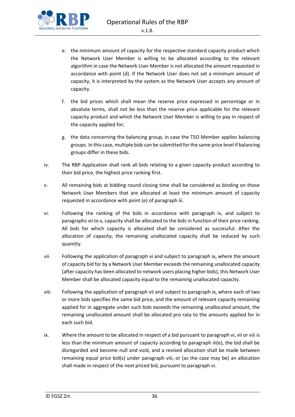Operational Rules of the RBP



- e. the minimum amount of capacity for the respective standard capacity product which the Network User Member is willing to be allocated according to the relevant algorithm in case the Network User Member is not allocated the amount requested in accordance with point (d). If the Network User does not set a minimum amount of capacity, it is interpreted by the system as the Network User accepts any amount of capacity.
- f. the bid prices which shall mean the reserve price expressed in percentage or in absolute terms, shall not be less than the reserve price applicable for the relevant capacity product and which the Network User Member is willing to pay in respect of the capacity applied for;
- g. the data concerning the balancing group, in case the TSO Member applies balancing groups. In this case, multiple bids can be submitted for the same price level if balancing groups differ in these bids.
- iv. The RBP Application shall rank all bids relating to a given capacity product according to their bid price, the highest price ranking first.
- v. All remaining bids at bidding round closing time shall be considered as binding on those Network User Members that are allocated at least the minimum amount of capacity requested in accordance with point (e) of paragraph iii.
- vi. Following the ranking of the bids in accordance with paragraph iv, and subject to paragraphs vii to x, capacity shall be allocated to the bids in function of their price ranking. All bids for which capacity is allocated shall be considered as successful. After the allocation of capacity, the remaining unallocated capacity shall be reduced by such quantity.
- vii. Following the application of paragraph vi and subject to paragraph ix, where the amount of capacity bid for by a Network User Member exceeds the remaining unallocated capacity (after capacity has been allocated to network users placing higher bids), this Network User Member shall be allocated capacity equal to the remaining unallocated capacity.
- viii. Following the application of paragraph vii and subject to paragraph ix, where each of two or more bids specifies the same bid price, and the amount of relevant capacity remaining applied for in aggregate under such bids exceeds the remaining unallocated amount, the remaining unallocated amount shall be allocated pro rata to the amounts applied for in each such bid.
- ix. Where the amount to be allocated in respect of a bid pursuant to paragraph vi, vii or viii is less than the minimum amount of capacity according to paragraph iii(e), the bid shall be disregarded and become null and void, and a revised allocation shall be made between remaining equal price bid(s) under paragraph viii, or (as the case may be) an allocation shall made in respect of the next priced bid, pursuant to paragraph vi.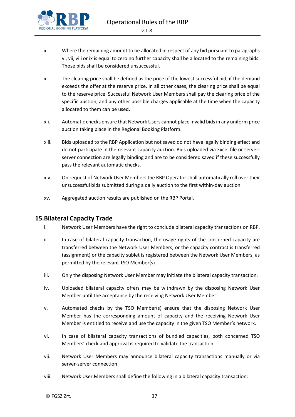

- x. Where the remaining amount to be allocated in respect of any bid pursuant to paragraphs vi, vii, viii or ix is equal to zero no further capacity shall be allocated to the remaining bids. Those bids shall be considered unsuccessful.
- xi. The clearing price shall be defined as the price of the lowest successful bid, if the demand exceeds the offer at the reserve price. In all other cases, the clearing price shall be equal to the reserve price. Successful Network User Members shall pay the clearing price of the specific auction, and any other possible charges applicable at the time when the capacity allocated to them can be used.
- xii. Automatic checks ensure that Network Users cannot place invalid bids in any uniform price auction taking place in the Regional Booking Platform.
- xiii. Bids uploaded to the RBP Application but not saved do not have legally binding effect and do not participate in the relevant capacity auction. Bids uploaded via Excel file or serverserver connection are legally binding and are to be considered saved if these successfully pass the relevant automatic checks.
- xiv. On request of Network User Members the RBP Operator shall automatically roll over their unsuccessful bids submitted during a daily auction to the first within-day auction.
- xv. Aggregated auction results are published on the RBP Portal.

# <span id="page-36-0"></span>**15.Bilateral Capacity Trade**

- i. Network User Members have the right to conclude bilateral capacity transactions on RBP.
- ii. In case of bilateral capacity transaction, the usage rights of the concerned capacity are transferred between the Network User Members, or the capacity contract is transferred (assignment) or the capacity sublet is registered between the Network User Members, as permitted by the relevant TSO Member(s).
- iii. Only the disposing Network User Member may initiate the bilateral capacity transaction.
- iv. Uploaded bilateral capacity offers may be withdrawn by the disposing Network User Member until the acceptance by the receiving Network User Member.
- v. Automated checks by the TSO Member(s) ensure that the disposing Network User Member has the corresponding amount of capacity and the receiving Network User Member is entitled to receive and use the capacity in the given TSO Member's network.
- vi. In case of bilateral capacity transactions of bundled capacities, both concerned TSO Members' check and approval is required to validate the transaction.
- vii. Network User Members may announce bilateral capacity transactions manually or via server-server connection.
- viii. Network User Members shall define the following in a bilateral capacity transaction: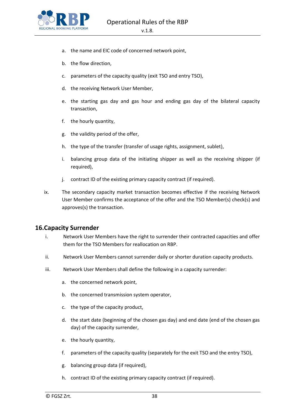

- a. the name and EIC code of concerned network point,
- b. the flow direction,
- c. parameters of the capacity quality (exit TSO and entry TSO),
- d. the receiving Network User Member,
- e. the starting gas day and gas hour and ending gas day of the bilateral capacity transaction,
- f. the hourly quantity,
- g. the validity period of the offer,
- h. the type of the transfer (transfer of usage rights, assignment, sublet),
- i. balancing group data of the initiating shipper as well as the receiving shipper (if required),
- j. contract ID of the existing primary capacity contract (if required).
- ix. The secondary capacity market transaction becomes effective if the receiving Network User Member confirms the acceptance of the offer and the TSO Member(s) check(s) and approves(s) the transaction.

#### <span id="page-37-0"></span>**16.Capacity Surrender**

- i. Network User Members have the right to surrender their contracted capacities and offer them for the TSO Members for reallocation on RBP.
- ii. Network User Members cannot surrender daily or shorter duration capacity products.
- iii. Network User Members shall define the following in a capacity surrender:
	- a. the concerned network point,
	- b. the concerned transmission system operator,
	- c. the type of the capacity product,
	- d. the start date (beginning of the chosen gas day) and end date (end of the chosen gas day) of the capacity surrender,
	- e. the hourly quantity,
	- f. parameters of the capacity quality (separately for the exit TSO and the entry TSO),
	- g. balancing group data (if required),
	- h. contract ID of the existing primary capacity contract (if required).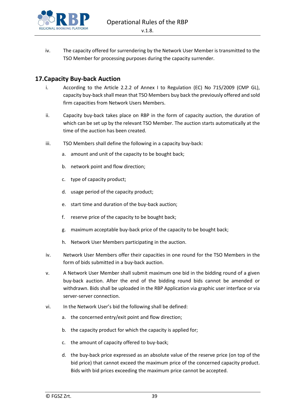

iv. The capacity offered for surrendering by the Network User Member is transmitted to the TSO Member for processing purposes during the capacity surrender.

# <span id="page-38-0"></span>**17.Capacity Buy-back Auction**

- i. According to the Article 2.2.2 of Annex I to Regulation (EC) No 715/2009 (CMP GL), capacity buy-back shall mean that TSO Members buy back the previously offered and sold firm capacities from Network Users Members.
- ii. Capacity buy-back takes place on RBP in the form of capacity auction, the duration of which can be set up by the relevant TSO Member. The auction starts automatically at the time of the auction has been created.
- iii. TSO Members shall define the following in a capacity buy-back:
	- a. amount and unit of the capacity to be bought back;
	- b. network point and flow direction;
	- c. type of capacity product;
	- d. usage period of the capacity product;
	- e. start time and duration of the buy-back auction;
	- f. reserve price of the capacity to be bought back;
	- g. maximum acceptable buy-back price of the capacity to be bought back;
	- h. Network User Members participating in the auction.
- iv. Network User Members offer their capacities in one round for the TSO Members in the form of bids submitted in a buy-back auction.
- v. A Network User Member shall submit maximum one bid in the bidding round of a given buy-back auction. After the end of the bidding round bids cannot be amended or withdrawn. Bids shall be uploaded in the RBP Application via graphic user interface or via server-server connection.
- vi. In the Network User's bid the following shall be defined:
	- a. the concerned entry/exit point and flow direction;
	- b. the capacity product for which the capacity is applied for;
	- c. the amount of capacity offered to buy-back;
	- d. the buy-back price expressed as an absolute value of the reserve price (on top of the bid price) that cannot exceed the maximum price of the concerned capacity product. Bids with bid prices exceeding the maximum price cannot be accepted.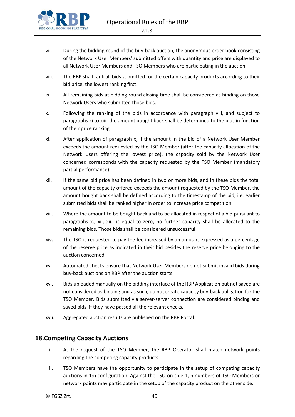

- vii. During the bidding round of the buy-back auction, the anonymous order book consisting of the Network User Members' submitted offers with quantity and price are displayed to all Network User Members and TSO Members who are participating in the auction.
- viii. The RBP shall rank all bids submitted for the certain capacity products according to their bid price, the lowest ranking first.
- ix. All remaining bids at bidding round closing time shall be considered as binding on those Network Users who submitted those bids.
- x. Following the ranking of the bids in accordance with paragraph viii, and subject to paragraphs xi to xiii, the amount bought back shall be determined to the bids in function of their price ranking.
- xi. After application of paragraph x, if the amount in the bid of a Network User Member exceeds the amount requested by the TSO Member (after the capacity allocation of the Network Users offering the lowest price), the capacity sold by the Network User concerned corresponds with the capacity requested by the TSO Member (mandatory partial performance).
- xii. If the same bid price has been defined in two or more bids, and in these bids the total amount of the capacity offered exceeds the amount requested by the TSO Member, the amount bought back shall be defined according to the timestamp of the bid, i.e. earlier submitted bids shall be ranked higher in order to increase price competition.
- xiii. Where the amount to be bought back and to be allocated in respect of a bid pursuant to paragraphs x., xi., xii., is equal to zero, no further capacity shall be allocated to the remaining bids. Those bids shall be considered unsuccessful.
- xiv. The TSO is requested to pay the fee increased by an amount expressed as a percentage of the reserve price as indicated in their bid besides the reserve price belonging to the auction concerned.
- xv. Automated checks ensure that Network User Members do not submit invalid bids during buy-back auctions on RBP after the auction starts.
- xvi. Bids uploaded manually on the bidding interface of the RBP Application but not saved are not considered as binding and as such, do not create capacity buy-back obligation for the TSO Member. Bids submitted via server-server connection are considered binding and saved bids, if they have passed all the relevant checks.
- xvii. Aggregated auction results are published on the RBP Portal.

# <span id="page-39-0"></span>**18.Competing Capacity Auctions**

- i. At the request of the TSO Member, the RBP Operator shall match network points regarding the competing capacity products.
- ii. TSO Members have the opportunity to participate in the setup of competing capacity auctions in 1:n configuration. Against the TSO on side 1, n numbers of TSO Members or network points may participate in the setup of the capacity product on the other side.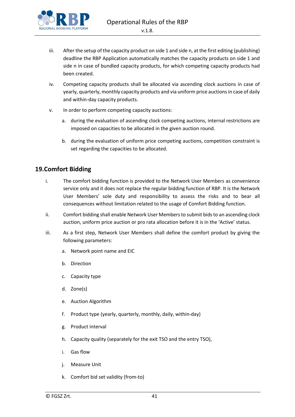

- iii. After the setup of the capacity product on side 1 and side n, at the first editing (publishing) deadline the RBP Application automatically matches the capacity products on side 1 and side n in case of bundled capacity products, for which competing capacity products had been created.
- iv. Competing capacity products shall be allocated via ascending clock auctions in case of yearly, quarterly, monthly capacity products and via uniform price auctions in case of daily and within-day capacity products.
- v. In order to perform competing capacity auctions:
	- a. during the evaluation of ascending clock competing auctions, internal restrictions are imposed on capacities to be allocated in the given auction round.
	- b. during the evaluation of uniform price competing auctions, competition constraint is set regarding the capacities to be allocated.

# <span id="page-40-0"></span>**19.Comfort Bidding**

- i. The comfort bidding function is provided to the Network User Members as convenience service only and it does not replace the regular bidding function of RBP. It is the Network User Members' sole duty and responsibility to assess the risks and to bear all consequences without limitation related to the usage of Comfort Bidding function.
- ii. Comfort bidding shall enable Network User Members to submit bids to an ascending clock auction, uniform price auction or pro rata allocation before it is in the 'Active' status.
- iii. As a first step, Network User Members shall define the comfort product by giving the following parameters:
	- a. Network point name and EIC
	- b. Direction
	- c. Capacity type
	- d. Zone(s)
	- e. Auction Algorithm
	- f. Product type (yearly, quarterly, monthly, daily, within-day)
	- g. Product interval
	- h. Capacity quality (separately for the exit TSO and the entry TSO),
	- i. Gas flow
	- j. Measure Unit
	- k. Comfort bid set validity (from-to)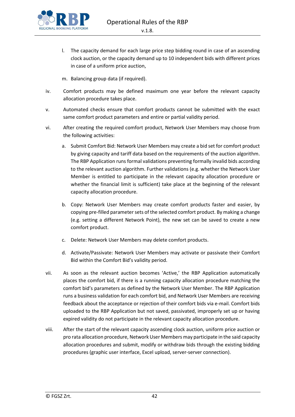

l. The capacity demand for each large price step bidding round in case of an ascending clock auction, or the capacity demand up to 10 independent bids with different prices in case of a uniform price auction,

m. Balancing group data (if required).

- iv. Comfort products may be defined maximum one year before the relevant capacity allocation procedure takes place.
- v. Automated checks ensure that comfort products cannot be submitted with the exact same comfort product parameters and entire or partial validity period.
- vi. After creating the required comfort product, Network User Members may choose from the following activities:
	- a. Submit Comfort Bid: Network User Members may create a bid set for comfort product by giving capacity and tariff data based on the requirements of the auction algorithm. The RBP Application runs formal validations preventing formally invalid bids according to the relevant auction algorithm. Further validations (e.g. whether the Network User Member is entitled to participate in the relevant capacity allocation procedure or whether the financial limit is sufficient) take place at the beginning of the relevant capacity allocation procedure.
	- b. Copy: Network User Members may create comfort products faster and easier, by copying pre-filled parameter sets of the selected comfort product. By making a change (e.g. setting a different Network Point), the new set can be saved to create a new comfort product.
	- c. Delete: Network User Members may delete comfort products.
	- d. Activate/Passivate: Network User Members may activate or passivate their Comfort Bid within the Comfort Bid's validity period.
- vii. As soon as the relevant auction becomes 'Active,' the RBP Application automatically places the comfort bid, if there is a running capacity allocation procedure matching the comfort bid's parameters as defined by the Network User Member. The RBP Application runs a business validation for each comfort bid, and Network User Members are receiving feedback about the acceptance or rejection of their comfort bids via e-mail. Comfort bids uploaded to the RBP Application but not saved, passivated, improperly set up or having expired validity do not participate in the relevant capacity allocation procedure.
- viii. After the start of the relevant capacity ascending clock auction, uniform price auction or pro rata allocation procedure, Network User Members may participate in the said capacity allocation procedures and submit, modify or withdraw bids through the existing bidding procedures (graphic user interface, Excel upload, server-server connection).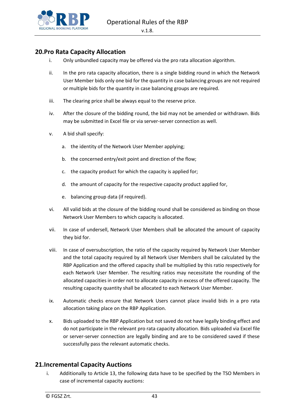

# <span id="page-42-0"></span>**20.Pro Rata Capacity Allocation**

- i. Only unbundled capacity may be offered via the pro rata allocation algorithm.
- ii. In the pro rata capacity allocation, there is a single bidding round in which the Network User Member bids only one bid for the quantity in case balancing groups are not required or multiple bids for the quantity in case balancing groups are required.
- iii. The clearing price shall be always equal to the reserve price.
- iv. After the closure of the bidding round, the bid may not be amended or withdrawn. Bids may be submitted in Excel file or via server-server connection as well.
- v. A bid shall specify:
	- a. the identity of the Network User Member applying;
	- b. the concerned entry/exit point and direction of the flow;
	- c. the capacity product for which the capacity is applied for;
	- d. the amount of capacity for the respective capacity product applied for,
	- e. balancing group data (if required).
- vi. All valid bids at the closure of the bidding round shall be considered as binding on those Network User Members to which capacity is allocated.
- vii. In case of undersell, Network User Members shall be allocated the amount of capacity they bid for.
- viii. In case of oversubscription, the ratio of the capacity required by Network User Member and the total capacity required by all Network User Members shall be calculated by the RBP Application and the offered capacity shall be multiplied by this ratio respectively for each Network User Member. The resulting ratios may necessitate the rounding of the allocated capacities in order not to allocate capacity in excess of the offered capacity. The resulting capacity quantity shall be allocated to each Network User Member.
- ix. Automatic checks ensure that Network Users cannot place invalid bids in a pro rata allocation taking place on the RBP Application.
- x. Bids uploaded to the RBP Application but not saved do not have legally binding effect and do not participate in the relevant pro rata capacity allocation. Bids uploaded via Excel file or server-server connection are legally binding and are to be considered saved if these successfully pass the relevant automatic checks.

#### <span id="page-42-1"></span>**21.Incremental Capacity Auctions**

i. Additionally to Article 13, the following data have to be specified by the TSO Members in case of incremental capacity auctions: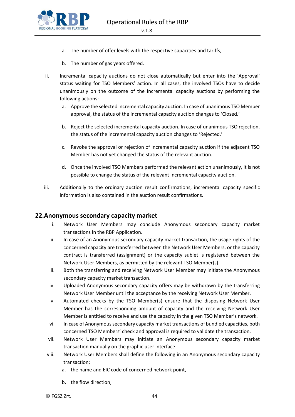

- a. The number of offer levels with the respective capacities and tariffs,
- b. The number of gas years offered.
- ii. Incremental capacity auctions do not close automatically but enter into the 'Approval' status waiting for TSO Members' action. In all cases, the involved TSOs have to decide unanimously on the outcome of the incremental capacity auctions by performing the following actions:
	- a. Approve the selected incremental capacity auction. In case of unanimous TSO Member approval, the status of the incremental capacity auction changes to 'Closed.'
	- b. Reject the selected incremental capacity auction. In case of unanimous TSO rejection, the status of the incremental capacity auction changes to 'Rejected.'
	- c. Revoke the approval or rejection of incremental capacity auction if the adjacent TSO Member has not yet changed the status of the relevant auction.
	- d. Once the involved TSO Members performed the relevant action unanimously, it is not possible to change the status of the relevant incremental capacity auction.
- iii. Additionally to the ordinary auction result confirmations, incremental capacity specific information is also contained in the auction result confirmations.

#### <span id="page-43-0"></span>**22.Anonymous secondary capacity market**

- i. Network User Members may conclude Anonymous secondary capacity market transactions in the RBP Application.
- ii. In case of an Anonymous secondary capacity market transaction, the usage rights of the concerned capacity are transferred between the Network User Members, or the capacity contract is transferred (assignment) or the capacity sublet is registered between the Network User Members, as permitted by the relevant TSO Member(s).
- iii. Both the transferring and receiving Network User Member may initiate the Anonymous secondary capacity market transaction.
- iv. Uploaded Anonymous secondary capacity offers may be withdrawn by the transferring Network User Member until the acceptance by the receiving Network User Member.
- v. Automated checks by the TSO Member(s) ensure that the disposing Network User Member has the corresponding amount of capacity and the receiving Network User Member is entitled to receive and use the capacity in the given TSO Member's network.
- vi. In case of Anonymous secondary capacity market transactions of bundled capacities, both concerned TSO Members' check and approval is required to validate the transaction.
- vii. Network User Members may initiate an Anonymous secondary capacity market transaction manually on the graphic user interface.
- viii. Network User Members shall define the following in an Anonymous secondary capacity transaction:
	- a. the name and EIC code of concerned network point,
	- b. the flow direction,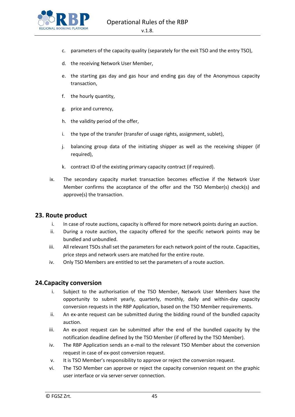

- c. parameters of the capacity quality (separately for the exit TSO and the entry TSO),
- d. the receiving Network User Member,
- e. the starting gas day and gas hour and ending gas day of the Anonymous capacity transaction,
- f. the hourly quantity,
- g. price and currency,
- h. the validity period of the offer,
- i. the type of the transfer (transfer of usage rights, assignment, sublet),
- j. balancing group data of the initiating shipper as well as the receiving shipper (if required),
- k. contract ID of the existing primary capacity contract (if required).
- ix. The secondary capacity market transaction becomes effective if the Network User Member confirms the acceptance of the offer and the TSO Member(s) check(s) and approve(s) the transaction.

#### <span id="page-44-0"></span>**23. Route product**

- i. In case of route auctions, capacity is offered for more network points during an auction.
- ii. During a route auction, the capacity offered for the specific network points may be bundled and unbundled.
- iii. All relevant TSOs shall set the parameters for each network point of the route. Capacities, price steps and network users are matched for the entire route.
- iv. Only TSO Members are entitled to set the parameters of a route auction.

#### <span id="page-44-1"></span>**24.Capacity conversion**

- i. Subject to the authorisation of the TSO Member, Network User Members have the opportunity to submit yearly, quarterly, monthly, daily and within-day capacity conversion requests in the RBP Application, based on the TSO Member requirements.
- ii. An ex-ante request can be submitted during the bidding round of the bundled capacity auction.
- iii. An ex-post request can be submitted after the end of the bundled capacity by the notification deadline defined by the TSO Member (if offered by the TSO Member).
- iv. The RBP Application sends an e-mail to the relevant TSO Member about the conversion request in case of ex-post conversion request.
- v. It is TSO Member's responsibility to approve or reject the conversion request.
- vi. The TSO Member can approve or reject the capacity conversion request on the graphic user interface or via server-server connection.